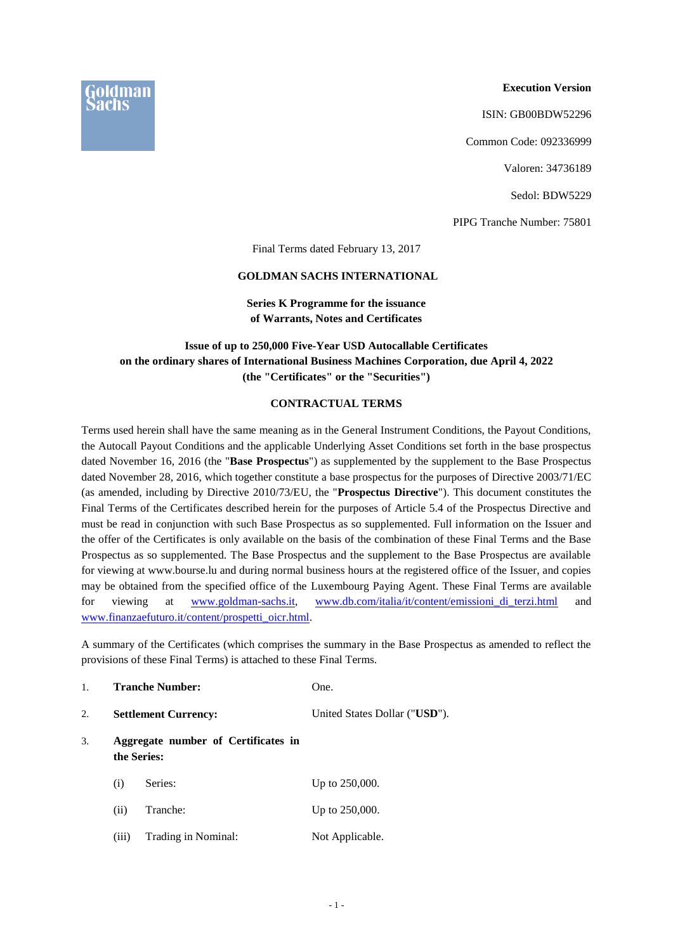

ISIN: GB00BDW52296

Common Code: 092336999

Valoren: 34736189

Sedol: BDW5229

PIPG Tranche Number: 75801

Final Terms dated February 13, 2017

#### **GOLDMAN SACHS INTERNATIONAL**

## **Series K Programme for the issuance of Warrants, Notes and Certificates**

# **Issue of up to 250,000 Five-Year USD Autocallable Certificates on the ordinary shares of International Business Machines Corporation, due April 4, 2022 (the "Certificates" or the "Securities")**

#### **CONTRACTUAL TERMS**

Terms used herein shall have the same meaning as in the General Instrument Conditions, the Payout Conditions, the Autocall Payout Conditions and the applicable Underlying Asset Conditions set forth in the base prospectus dated November 16, 2016 (the "**Base Prospectus**") as supplemented by the supplement to the Base Prospectus dated November 28, 2016, which together constitute a base prospectus for the purposes of Directive 2003/71/EC (as amended, including by Directive 2010/73/EU, the "**Prospectus Directive**"). This document constitutes the Final Terms of the Certificates described herein for the purposes of Article 5.4 of the Prospectus Directive and must be read in conjunction with such Base Prospectus as so supplemented. Full information on the Issuer and the offer of the Certificates is only available on the basis of the combination of these Final Terms and the Base Prospectus as so supplemented. The Base Prospectus and the supplement to the Base Prospectus are available for viewing at www.bourse.lu and during normal business hours at the registered office of the Issuer, and copies may be obtained from the specified office of the Luxembourg Paying Agent. These Final Terms are available for viewing at [www.goldman-sachs.it,](http://www.goldman-sachs.it/) www.db.com/italia/it/content/emissioni di terzi.html and [www.finanzaefuturo.it/content/prospetti\\_oicr.html.](http://www.finanzaefuturo.it/content/prospetti_oicr.html)

A summary of the Certificates (which comprises the summary in the Base Prospectus as amended to reflect the provisions of these Final Terms) is attached to these Final Terms.

| 1. |       | <b>Tranche Number:</b>                             | One.                          |
|----|-------|----------------------------------------------------|-------------------------------|
| 2. |       | <b>Settlement Currency:</b>                        | United States Dollar ("USD"). |
| 3. |       | Aggregate number of Certificates in<br>the Series: |                               |
|    | (i)   | Series:                                            | Up to 250,000.                |
|    | (ii)  | Tranche:                                           | Up to 250,000.                |
|    | (iii) | Trading in Nominal:                                | Not Applicable.               |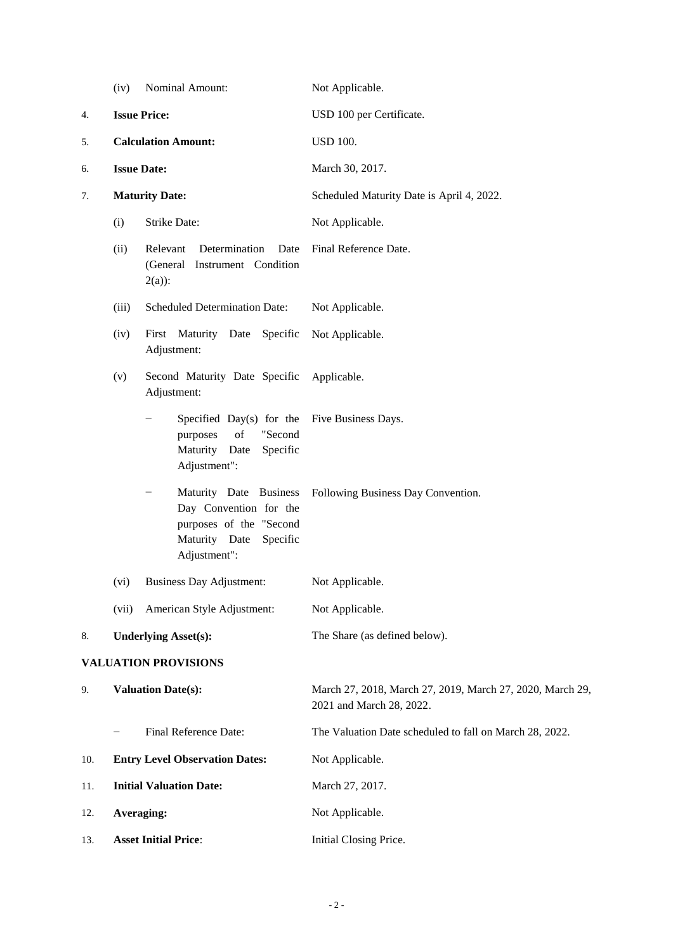|                             | (iv)                       | Nominal Amount:                                                                                                       | Not Applicable.                                                                       |
|-----------------------------|----------------------------|-----------------------------------------------------------------------------------------------------------------------|---------------------------------------------------------------------------------------|
| 4.                          | <b>Issue Price:</b>        |                                                                                                                       | USD 100 per Certificate.                                                              |
| 5.                          | <b>Calculation Amount:</b> |                                                                                                                       | <b>USD 100.</b>                                                                       |
| 6.                          | <b>Issue Date:</b>         |                                                                                                                       | March 30, 2017.                                                                       |
| 7.                          |                            | <b>Maturity Date:</b>                                                                                                 | Scheduled Maturity Date is April 4, 2022.                                             |
|                             | (i)                        | Strike Date:                                                                                                          | Not Applicable.                                                                       |
|                             | (ii)                       | Determination<br>Date<br>Relevant<br>(General Instrument Condition<br>$2(a)$ :                                        | Final Reference Date.                                                                 |
|                             | (iii)                      | <b>Scheduled Determination Date:</b>                                                                                  | Not Applicable.                                                                       |
|                             | (iv)                       | First Maturity Date Specific<br>Adjustment:                                                                           | Not Applicable.                                                                       |
|                             | (v)                        | Second Maturity Date Specific<br>Adjustment:                                                                          | Applicable.                                                                           |
|                             |                            | Specified Day(s) for the<br>of<br>"Second<br>purposes<br>Maturity Date<br>Specific<br>Adjustment":                    | Five Business Days.                                                                   |
|                             |                            | Maturity Date Business<br>Day Convention for the<br>purposes of the "Second<br>Maturity Date Specific<br>Adjustment": | Following Business Day Convention.                                                    |
|                             | (vi)                       | Business Day Adjustment:                                                                                              | Not Applicable.                                                                       |
|                             | (vii)                      | American Style Adjustment:                                                                                            | Not Applicable.                                                                       |
| 8.                          |                            | <b>Underlying Asset(s):</b>                                                                                           | The Share (as defined below).                                                         |
| <b>VALUATION PROVISIONS</b> |                            |                                                                                                                       |                                                                                       |
| 9.                          |                            | <b>Valuation Date(s):</b>                                                                                             | March 27, 2018, March 27, 2019, March 27, 2020, March 29,<br>2021 and March 28, 2022. |
|                             |                            | Final Reference Date:                                                                                                 | The Valuation Date scheduled to fall on March 28, 2022.                               |
| 10.                         |                            | <b>Entry Level Observation Dates:</b>                                                                                 | Not Applicable.                                                                       |
| 11.                         |                            | <b>Initial Valuation Date:</b>                                                                                        | March 27, 2017.                                                                       |
| 12.                         | Averaging:                 |                                                                                                                       | Not Applicable.                                                                       |

13. **Asset Initial Price**: **Initial Closing Price.**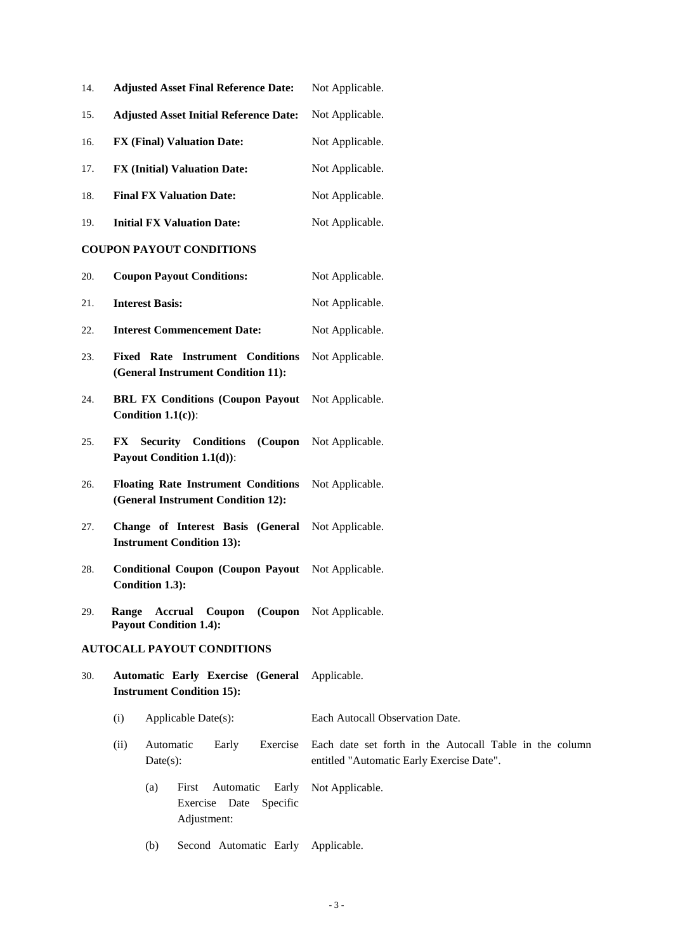| 14. | <b>Adjusted Asset Final Reference Date:</b>                                       | Not Applicable.                                                                                      |
|-----|-----------------------------------------------------------------------------------|------------------------------------------------------------------------------------------------------|
| 15. | <b>Adjusted Asset Initial Reference Date:</b>                                     | Not Applicable.                                                                                      |
| 16. | <b>FX (Final) Valuation Date:</b>                                                 | Not Applicable.                                                                                      |
| 17. | <b>FX (Initial) Valuation Date:</b>                                               | Not Applicable.                                                                                      |
| 18. | <b>Final FX Valuation Date:</b>                                                   | Not Applicable.                                                                                      |
| 19. | <b>Initial FX Valuation Date:</b>                                                 | Not Applicable.                                                                                      |
|     | <b>COUPON PAYOUT CONDITIONS</b>                                                   |                                                                                                      |
| 20. | <b>Coupon Payout Conditions:</b>                                                  | Not Applicable.                                                                                      |
| 21. | <b>Interest Basis:</b>                                                            | Not Applicable.                                                                                      |
| 22. | <b>Interest Commencement Date:</b>                                                | Not Applicable.                                                                                      |
| 23. | <b>Fixed Rate Instrument Conditions</b><br>(General Instrument Condition 11):     | Not Applicable.                                                                                      |
| 24. | <b>BRL FX Conditions (Coupon Payout)</b><br>Condition $1.1(c)$ :                  | Not Applicable.                                                                                      |
| 25. | <b>Security Conditions</b><br>FX<br>(Coupon<br>Payout Condition 1.1(d)):          | Not Applicable.                                                                                      |
| 26. | <b>Floating Rate Instrument Conditions</b><br>(General Instrument Condition 12):  | Not Applicable.                                                                                      |
| 27. | Change of Interest Basis (General<br><b>Instrument Condition 13):</b>             | Not Applicable.                                                                                      |
| 28. | Conditional Coupon (Coupon Payout Not Applicable.<br>Condition 1.3):              |                                                                                                      |
| 29. | Accrual<br>Coupon<br>Range<br><b>Payout Condition 1.4):</b>                       | (Coupon Not Applicable.                                                                              |
|     | <b>AUTOCALL PAYOUT CONDITIONS</b>                                                 |                                                                                                      |
| 30. | Automatic Early Exercise (General Applicable.<br><b>Instrument Condition 15):</b> |                                                                                                      |
|     | Applicable Date(s):<br>(i)                                                        | Each Autocall Observation Date.                                                                      |
|     | Automatic<br>Exercise<br>(ii)<br>Early<br>$Date(s)$ :                             | Each date set forth in the Autocall Table in the column<br>entitled "Automatic Early Exercise Date". |
|     | First<br>Automatic<br>Early<br>(a)<br>Exercise Date<br>Specific<br>Adjustment:    | Not Applicable.                                                                                      |
|     | Second Automatic Early Applicable.<br>(b)                                         |                                                                                                      |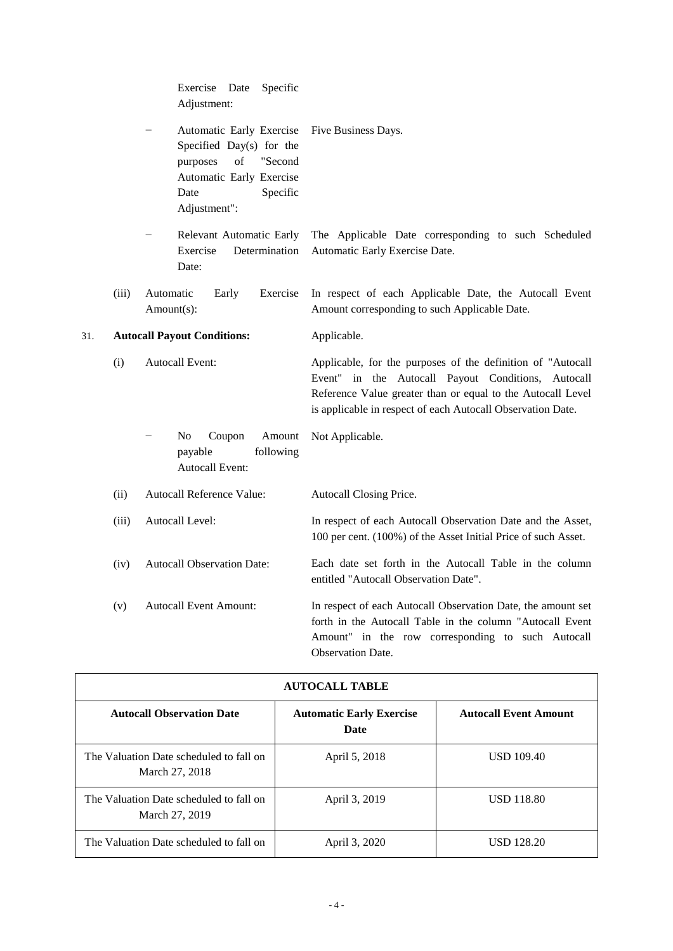|     |       | Exercise Date<br>Specific<br>Adjustment:                                                                                                                                                                                                          |                                                                                                                                                                                                                                                    |
|-----|-------|---------------------------------------------------------------------------------------------------------------------------------------------------------------------------------------------------------------------------------------------------|----------------------------------------------------------------------------------------------------------------------------------------------------------------------------------------------------------------------------------------------------|
|     |       | Automatic Early Exercise<br>Specified Day(s) for the<br>$% \left( \left( \mathcal{A},\mathcal{A}\right) \right) =\left( \mathcal{A},\mathcal{A}\right)$ of<br>"Second<br>purposes<br>Automatic Early Exercise<br>Specific<br>Date<br>Adjustment": | Five Business Days.                                                                                                                                                                                                                                |
|     |       | Relevant Automatic Early<br>Exercise<br>Determination<br>Date:                                                                                                                                                                                    | The Applicable Date corresponding to such Scheduled<br>Automatic Early Exercise Date.                                                                                                                                                              |
|     | (iii) | Automatic<br>Early<br>Exercise<br>Amount(s):                                                                                                                                                                                                      | In respect of each Applicable Date, the Autocall Event<br>Amount corresponding to such Applicable Date.                                                                                                                                            |
| 31. |       | <b>Autocall Payout Conditions:</b>                                                                                                                                                                                                                | Applicable.                                                                                                                                                                                                                                        |
|     | (i)   | <b>Autocall Event:</b>                                                                                                                                                                                                                            | Applicable, for the purposes of the definition of "Autocall<br>Event" in the Autocall Payout Conditions,<br>Autocall<br>Reference Value greater than or equal to the Autocall Level<br>is applicable in respect of each Autocall Observation Date. |
|     |       | N <sub>0</sub><br>Coupon<br>Amount<br>following<br>payable<br><b>Autocall Event:</b>                                                                                                                                                              | Not Applicable.                                                                                                                                                                                                                                    |
|     | (ii)  | Autocall Reference Value:                                                                                                                                                                                                                         | Autocall Closing Price.                                                                                                                                                                                                                            |
|     | (iii) | Autocall Level:                                                                                                                                                                                                                                   | In respect of each Autocall Observation Date and the Asset,<br>100 per cent. (100%) of the Asset Initial Price of such Asset.                                                                                                                      |
|     | (iv)  | <b>Autocall Observation Date:</b>                                                                                                                                                                                                                 | Each date set forth in the Autocall Table in the column<br>entitled "Autocall Observation Date".                                                                                                                                                   |
|     | (v)   | <b>Autocall Event Amount:</b>                                                                                                                                                                                                                     | In respect of each Autocall Observation Date, the amount set<br>forth in the Autocall Table in the column "Autocall Event<br>Amount" in the row corresponding to such Autocall<br><b>Observation Date.</b>                                         |

| <b>AUTOCALL TABLE</b>                                     |                                         |                              |
|-----------------------------------------------------------|-----------------------------------------|------------------------------|
| <b>Autocall Observation Date</b>                          | <b>Automatic Early Exercise</b><br>Date | <b>Autocall Event Amount</b> |
| The Valuation Date scheduled to fall on<br>March 27, 2018 | April 5, 2018                           | <b>USD 109.40</b>            |
| The Valuation Date scheduled to fall on<br>March 27, 2019 | April 3, 2019                           | <b>USD 118.80</b>            |
| The Valuation Date scheduled to fall on                   | April 3, 2020                           | <b>USD 128.20</b>            |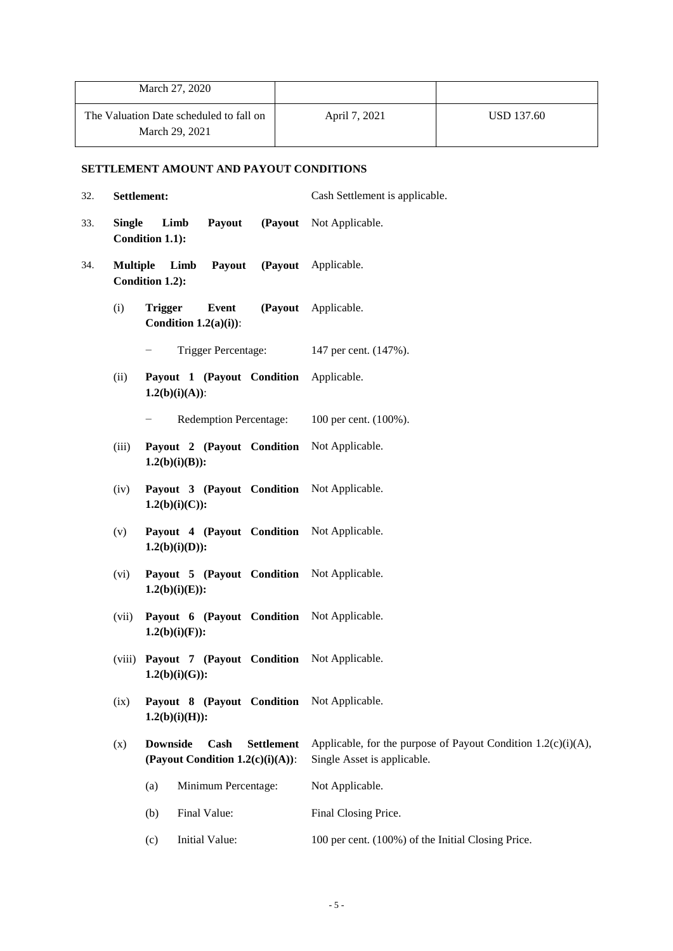| March 27, 2020                                            |               |            |
|-----------------------------------------------------------|---------------|------------|
| The Valuation Date scheduled to fall on<br>March 29, 2021 | April 7, 2021 | USD 137.60 |

# **SETTLEMENT AMOUNT AND PAYOUT CONDITIONS**

| 32. | Settlement:     |                                                                                  | Cash Settlement is applicable.                                                                  |
|-----|-----------------|----------------------------------------------------------------------------------|-------------------------------------------------------------------------------------------------|
| 33. | <b>Single</b>   | Limb<br>Payout<br>Condition 1.1):                                                | (Payout Not Applicable.                                                                         |
| 34. | <b>Multiple</b> | Payout<br>Limb<br>Condition 1.2):                                                | (Payout Applicable.                                                                             |
|     | (i)             | <b>Trigger</b><br>Event<br>Condition $1.2(a)(i)$ :                               | (Payout Applicable.                                                                             |
|     |                 | Trigger Percentage:<br>-                                                         | 147 per cent. (147%).                                                                           |
|     | (ii)            | Payout 1 (Payout Condition Applicable.<br>$1.2(b)(i)(A))$ :                      |                                                                                                 |
|     |                 | <b>Redemption Percentage:</b><br>-                                               | 100 per cent. (100%).                                                                           |
|     | (iii)           | Payout 2 (Payout Condition Not Applicable.<br>$1.2(b)(i)(B))$ :                  |                                                                                                 |
|     | (iv)            | Payout 3 (Payout Condition Not Applicable.<br>$1.2(b)(i)(C))$ :                  |                                                                                                 |
|     | (v)             | Payout 4 (Payout Condition Not Applicable.<br>$1.2(b)(i)(D))$ :                  |                                                                                                 |
|     | (vi)            | Payout 5 (Payout Condition Not Applicable.<br>$1.2(b)(i)(E))$ :                  |                                                                                                 |
|     | (vii)           | Payout 6 (Payout Condition Not Applicable.<br>$1.2(b)(i)(F)$ :                   |                                                                                                 |
|     | (viii)          | Payout 7 (Payout Condition Not Applicable.<br>$1.2(b)(i)(G))$ :                  |                                                                                                 |
|     | (ix)            | Payout 8 (Payout Condition Not Applicable.<br>$1.2(b)(i)(H))$ :                  |                                                                                                 |
|     | (x)             | <b>Downside</b><br>Cash<br><b>Settlement</b><br>(Payout Condition 1.2(c)(i)(A)): | Applicable, for the purpose of Payout Condition $1.2(c)(i)(A)$ ,<br>Single Asset is applicable. |
|     |                 | Minimum Percentage:<br>(a)                                                       | Not Applicable.                                                                                 |
|     |                 | Final Value:<br>(b)                                                              | Final Closing Price.                                                                            |
|     |                 | Initial Value:<br>(c)                                                            | 100 per cent. (100%) of the Initial Closing Price.                                              |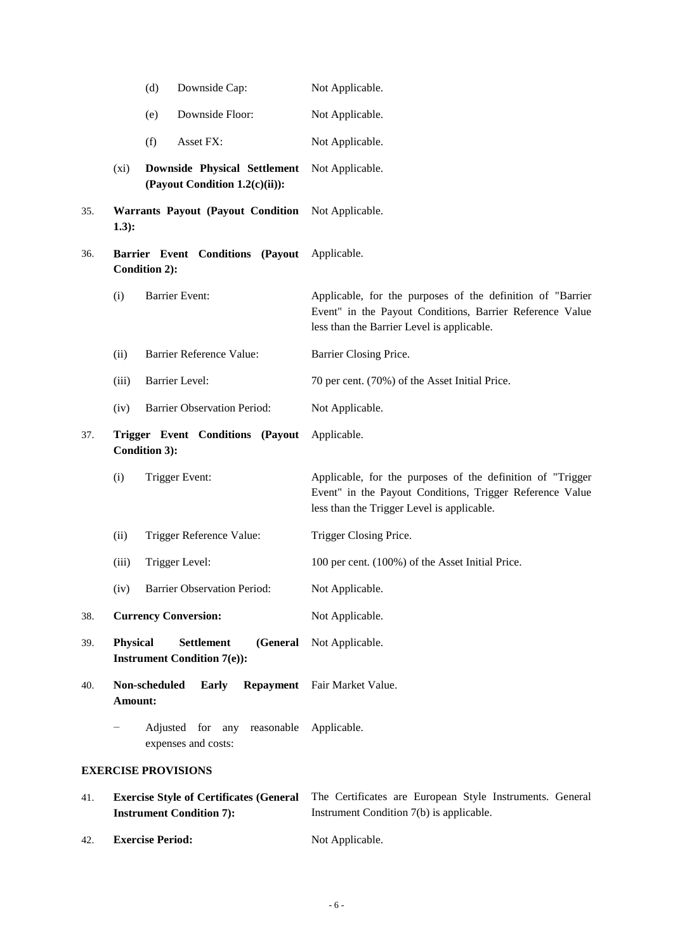|     |                 | (d)<br>Downside Cap:                                                              | Not Applicable.                                                                                                                                                      |
|-----|-----------------|-----------------------------------------------------------------------------------|----------------------------------------------------------------------------------------------------------------------------------------------------------------------|
|     |                 | Downside Floor:<br>(e)                                                            | Not Applicable.                                                                                                                                                      |
|     |                 | (f)<br>Asset FX:                                                                  | Not Applicable.                                                                                                                                                      |
|     | $(x_i)$         | <b>Downside Physical Settlement</b><br>(Payout Condition 1.2(c)(ii)):             | Not Applicable.                                                                                                                                                      |
| 35. | 1.3):           | Warrants Payout (Payout Condition                                                 | Not Applicable.                                                                                                                                                      |
| 36. |                 | Barrier Event Conditions (Payout<br><b>Condition 2):</b>                          | Applicable.                                                                                                                                                          |
|     | (i)             | <b>Barrier Event:</b>                                                             | Applicable, for the purposes of the definition of "Barrier<br>Event" in the Payout Conditions, Barrier Reference Value<br>less than the Barrier Level is applicable. |
|     | (ii)            | <b>Barrier Reference Value:</b>                                                   | Barrier Closing Price.                                                                                                                                               |
|     | (iii)           | <b>Barrier Level:</b>                                                             | 70 per cent. (70%) of the Asset Initial Price.                                                                                                                       |
|     | (iv)            | <b>Barrier Observation Period:</b>                                                | Not Applicable.                                                                                                                                                      |
| 37. |                 | Trigger Event Conditions (Payout<br>Condition 3):                                 | Applicable.                                                                                                                                                          |
|     | (i)             | Trigger Event:                                                                    | Applicable, for the purposes of the definition of "Trigger<br>Event" in the Payout Conditions, Trigger Reference Value<br>less than the Trigger Level is applicable. |
|     | (ii)            | Trigger Reference Value:                                                          | Trigger Closing Price.                                                                                                                                               |
|     | (iii)           | Trigger Level:                                                                    | 100 per cent. (100%) of the Asset Initial Price.                                                                                                                     |
|     | (iv)            | <b>Barrier Observation Period:</b>                                                | Not Applicable.                                                                                                                                                      |
| 38. |                 | <b>Currency Conversion:</b>                                                       | Not Applicable.                                                                                                                                                      |
| 39. | <b>Physical</b> | <b>Settlement</b><br>(General<br><b>Instrument Condition 7(e)):</b>               | Not Applicable.                                                                                                                                                      |
| 40. | Amount:         | Non-scheduled<br><b>Early</b><br>Repayment                                        | Fair Market Value.                                                                                                                                                   |
|     | -               | Adjusted for<br>any<br>reasonable<br>expenses and costs:                          | Applicable.                                                                                                                                                          |
|     |                 | <b>EXERCISE PROVISIONS</b>                                                        |                                                                                                                                                                      |
| 41. |                 | <b>Exercise Style of Certificates (General</b><br><b>Instrument Condition 7):</b> | The Certificates are European Style Instruments. General<br>Instrument Condition 7(b) is applicable.                                                                 |

42. **Exercise Period:** Not Applicable.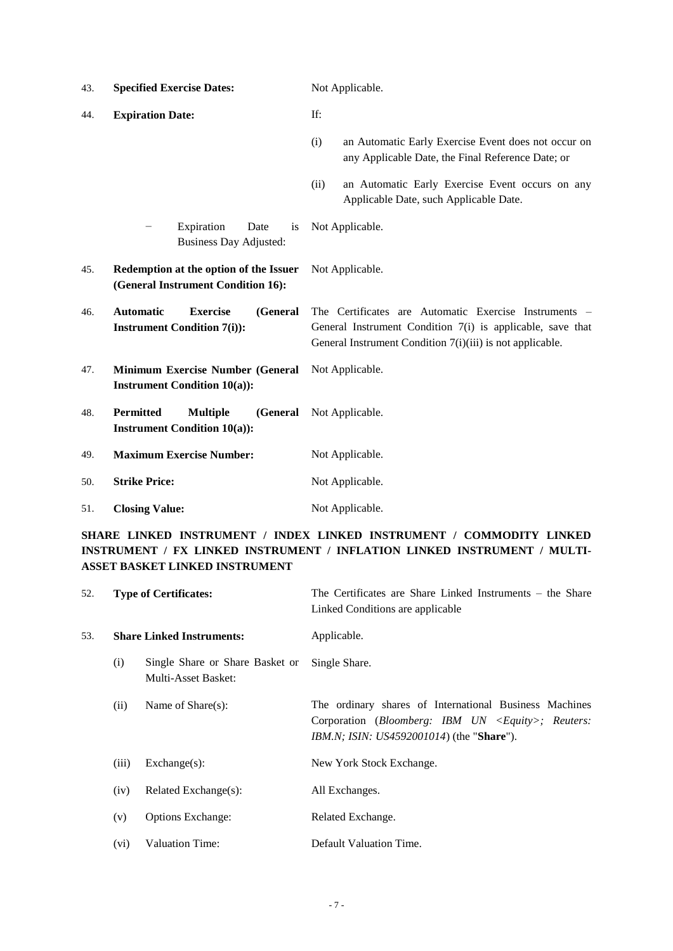| 43. | <b>Specified Exercise Dates:</b>                                                       | Not Applicable.                                                                                                                                                                  |
|-----|----------------------------------------------------------------------------------------|----------------------------------------------------------------------------------------------------------------------------------------------------------------------------------|
| 44. | <b>Expiration Date:</b>                                                                | If:                                                                                                                                                                              |
|     |                                                                                        | an Automatic Early Exercise Event does not occur on<br>(i)<br>any Applicable Date, the Final Reference Date; or                                                                  |
|     |                                                                                        | an Automatic Early Exercise Event occurs on any<br>(ii)<br>Applicable Date, such Applicable Date.                                                                                |
|     | Expiration<br>Date<br>is<br><b>Business Day Adjusted:</b>                              | Not Applicable.                                                                                                                                                                  |
| 45. | Redemption at the option of the Issuer<br>(General Instrument Condition 16):           | Not Applicable.                                                                                                                                                                  |
| 46. | <b>Exercise</b><br>(General<br><b>Automatic</b><br><b>Instrument Condition 7(i)):</b>  | The Certificates are Automatic Exercise Instruments –<br>General Instrument Condition 7(i) is applicable, save that<br>General Instrument Condition 7(i)(iii) is not applicable. |
| 47. | Minimum Exercise Number (General<br><b>Instrument Condition 10(a)):</b>                | Not Applicable.                                                                                                                                                                  |
| 48. | <b>Permitted</b><br><b>Multiple</b><br>(General<br><b>Instrument Condition 10(a)):</b> | Not Applicable.                                                                                                                                                                  |
| 49. | <b>Maximum Exercise Number:</b>                                                        | Not Applicable.                                                                                                                                                                  |
| 50. | <b>Strike Price:</b>                                                                   | Not Applicable.                                                                                                                                                                  |
| 51. | <b>Closing Value:</b>                                                                  | Not Applicable.                                                                                                                                                                  |

**SHARE LINKED INSTRUMENT / INDEX LINKED INSTRUMENT / COMMODITY LINKED INSTRUMENT / FX LINKED INSTRUMENT / INFLATION LINKED INSTRUMENT / MULTI-ASSET BASKET LINKED INSTRUMENT**

| 52. |       | <b>Type of Certificates:</b>                           | The Certificates are Share Linked Instruments - the Share<br>Linked Conditions are applicable                                                                                               |
|-----|-------|--------------------------------------------------------|---------------------------------------------------------------------------------------------------------------------------------------------------------------------------------------------|
| 53. |       | <b>Share Linked Instruments:</b>                       | Applicable.                                                                                                                                                                                 |
|     | (i)   | Single Share or Share Basket or<br>Multi-Asset Basket: | Single Share.                                                                                                                                                                               |
|     | (ii)  | Name of $Share(s)$ :                                   | The ordinary shares of International Business Machines<br>Corporation ( <i>Bloomberg: IBM UN <math>\langle Equity \rangle</math>; Reuters:</i><br>IBM.N; ISIN: US4592001014) (the "Share"). |
|     | (iii) | $Exchange(s)$ :                                        | New York Stock Exchange.                                                                                                                                                                    |
|     | (iv)  | Related Exchange(s):                                   | All Exchanges.                                                                                                                                                                              |
|     | (v)   | <b>Options Exchange:</b>                               | Related Exchange.                                                                                                                                                                           |
|     | (vi)  | Valuation Time:                                        | Default Valuation Time.                                                                                                                                                                     |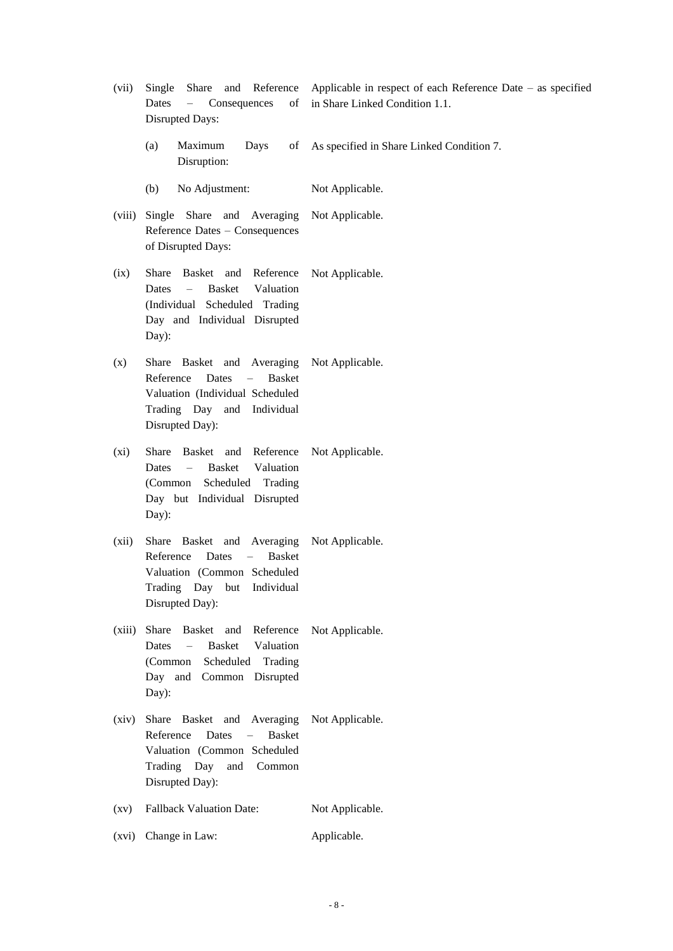- (vii) Single Share and Reference Dates – Consequences of Disrupted Days: Applicable in respect of each Reference Date – as specified in Share Linked Condition 1.1.
	- $(a)$  Maximum Days Disruption: As specified in Share Linked Condition 7.
	- (b) No Adjustment: Not Applicable.
- (viii) Single Share and Averaging Reference Dates – Consequences of Disrupted Days: Not Applicable.
- (ix) Share Basket and Reference Dates – Basket Valuation (Individual Scheduled Trading Day and Individual Disrupted Day): Not Applicable.
- (x) Share Basket and Averaging Reference Dates – Basket Valuation (Individual Scheduled Trading Day and Individual Disrupted Day): Not Applicable.
- (xi) Share Basket and Reference Dates – Basket Valuation (Common Scheduled Trading Day but Individual Disrupted Day): Not Applicable.
- (xii) Share Basket and Averaging Reference Dates – Basket Valuation (Common Scheduled Trading Day but Individual Disrupted Day): Not Applicable.
- (xiii) Share Basket and Reference Dates – Basket Valuation (Common Scheduled Trading Day and Common Disrupted Day): Not Applicable.
- (xiv) Share Basket and Averaging Reference Dates – Basket Valuation (Common Scheduled Trading Day and Common Disrupted Day): Not Applicable.
- (xv) Fallback Valuation Date: Not Applicable.
- (xvi) Change in Law: Applicable.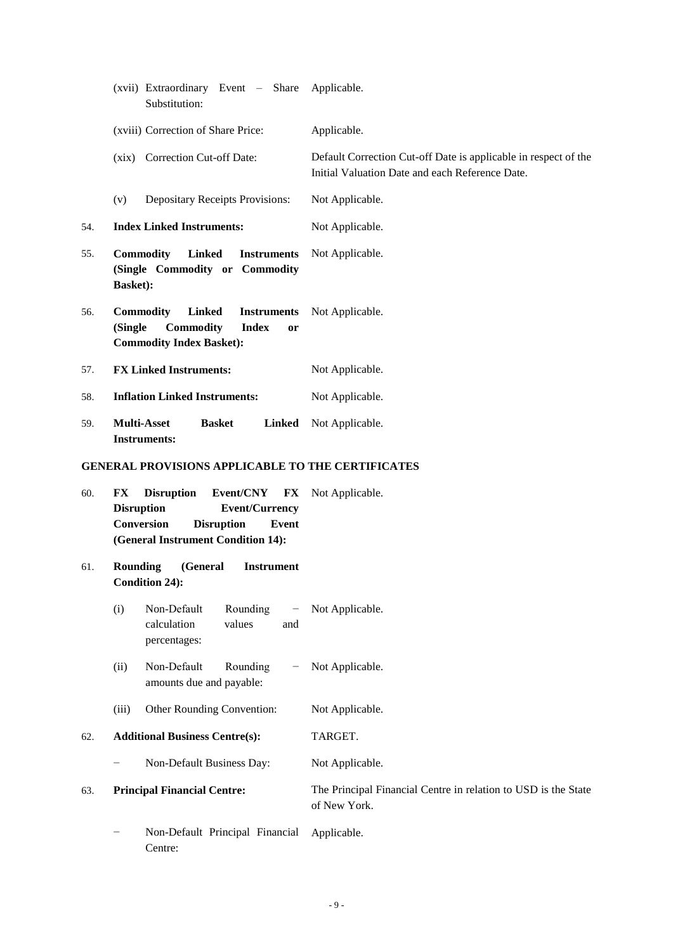|     | (xvii) Extraordinary Event - Share<br>Substitution:                                                                                                                        | Applicable.                                                                                                        |
|-----|----------------------------------------------------------------------------------------------------------------------------------------------------------------------------|--------------------------------------------------------------------------------------------------------------------|
|     | (xviii) Correction of Share Price:                                                                                                                                         | Applicable.                                                                                                        |
|     | (xix) Correction Cut-off Date:                                                                                                                                             | Default Correction Cut-off Date is applicable in respect of the<br>Initial Valuation Date and each Reference Date. |
|     | (v)<br><b>Depositary Receipts Provisions:</b>                                                                                                                              | Not Applicable.                                                                                                    |
| 54. | <b>Index Linked Instruments:</b>                                                                                                                                           | Not Applicable.                                                                                                    |
| 55. | <b>Commodity</b><br><b>Linked</b><br><b>Instruments</b><br>(Single Commodity or Commodity<br><b>Basket):</b>                                                               | Not Applicable.                                                                                                    |
| 56. | <b>Linked</b><br><b>Commodity</b><br><b>Instruments</b><br>Commodity<br><b>Index</b><br>(Single<br><b>or</b><br><b>Commodity Index Basket):</b>                            | Not Applicable.                                                                                                    |
| 57. | <b>FX Linked Instruments:</b>                                                                                                                                              | Not Applicable.                                                                                                    |
| 58. | <b>Inflation Linked Instruments:</b>                                                                                                                                       | Not Applicable.                                                                                                    |
| 59. | <b>Multi-Asset</b><br><b>Linked</b><br><b>Basket</b><br><b>Instruments:</b>                                                                                                | Not Applicable.                                                                                                    |
|     | <b>GENERAL PROVISIONS APPLICABLE TO THE CERTIFICATES</b>                                                                                                                   |                                                                                                                    |
| 60. | Event/CNY<br>FX<br><b>Disruption</b><br>FX<br><b>Disruption</b><br><b>Event/Currency</b><br>Conversion<br><b>Disruption</b><br>Event<br>(General Instrument Condition 14): | Not Applicable.                                                                                                    |
| 61. | <b>Rounding</b><br>(General<br><b>Instrument</b><br><b>Condition 24):</b>                                                                                                  |                                                                                                                    |
|     | Non-Default<br>Rounding<br>(i)<br>$\qquad \qquad -$<br>calculation<br>values<br>and<br>percentages:                                                                        | Not Applicable.                                                                                                    |
|     | Non-Default<br>(ii)<br>Rounding<br>amounts due and payable:                                                                                                                | Not Applicable.                                                                                                    |
|     | (iii)<br>Other Rounding Convention:                                                                                                                                        | Not Applicable.                                                                                                    |
| 62. | <b>Additional Business Centre(s):</b>                                                                                                                                      | TARGET.                                                                                                            |
|     | Non-Default Business Day:                                                                                                                                                  | Not Applicable.                                                                                                    |
| 63. | <b>Principal Financial Centre:</b>                                                                                                                                         | The Principal Financial Centre in relation to USD is the State<br>of New York.                                     |
|     | Non-Default Principal Financial<br>Centre:                                                                                                                                 | Applicable.                                                                                                        |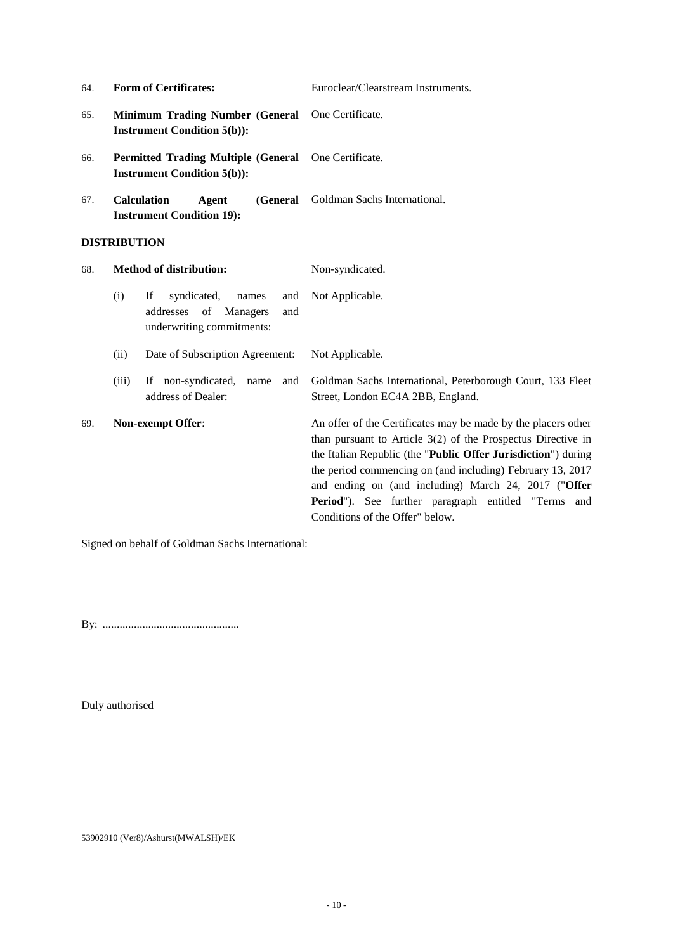| 64. | <b>Form of Certificates:</b>                                                                             | Euroclear/Clearstream Instruments.                                                                                                                                                                                                                                                                                                                                                                               |
|-----|----------------------------------------------------------------------------------------------------------|------------------------------------------------------------------------------------------------------------------------------------------------------------------------------------------------------------------------------------------------------------------------------------------------------------------------------------------------------------------------------------------------------------------|
| 65. | <b>Minimum Trading Number (General</b><br><b>Instrument Condition 5(b)):</b>                             | One Certificate.                                                                                                                                                                                                                                                                                                                                                                                                 |
| 66. | <b>Permitted Trading Multiple (General</b><br><b>Instrument Condition 5(b)):</b>                         | One Certificate.                                                                                                                                                                                                                                                                                                                                                                                                 |
| 67. | <b>Calculation</b><br>(General<br>Agent<br><b>Instrument Condition 19):</b>                              | Goldman Sachs International.                                                                                                                                                                                                                                                                                                                                                                                     |
|     | <b>DISTRIBUTION</b>                                                                                      |                                                                                                                                                                                                                                                                                                                                                                                                                  |
| 68. | <b>Method of distribution:</b>                                                                           | Non-syndicated.                                                                                                                                                                                                                                                                                                                                                                                                  |
|     | (i)<br>If<br>syndicated,<br>names<br>and<br>addresses of<br>Managers<br>and<br>underwriting commitments: | Not Applicable.                                                                                                                                                                                                                                                                                                                                                                                                  |
|     | Date of Subscription Agreement:<br>(ii)                                                                  | Not Applicable.                                                                                                                                                                                                                                                                                                                                                                                                  |
|     | If non-syndicated,<br>(iii)<br>name<br>and<br>address of Dealer:                                         | Goldman Sachs International, Peterborough Court, 133 Fleet<br>Street, London EC4A 2BB, England.                                                                                                                                                                                                                                                                                                                  |
| 69. | Non-exempt Offer:                                                                                        | An offer of the Certificates may be made by the placers other<br>than pursuant to Article $3(2)$ of the Prospectus Directive in<br>the Italian Republic (the "Public Offer Jurisdiction") during<br>the period commencing on (and including) February 13, 2017<br>and ending on (and including) March 24, 2017 ("Offer<br>Period"). See further paragraph entitled "Terms and<br>Conditions of the Offer" below. |

Signed on behalf of Goldman Sachs International:

By: ................................................

Duly authorised

53902910 (Ver8)/Ashurst(MWALSH)/EK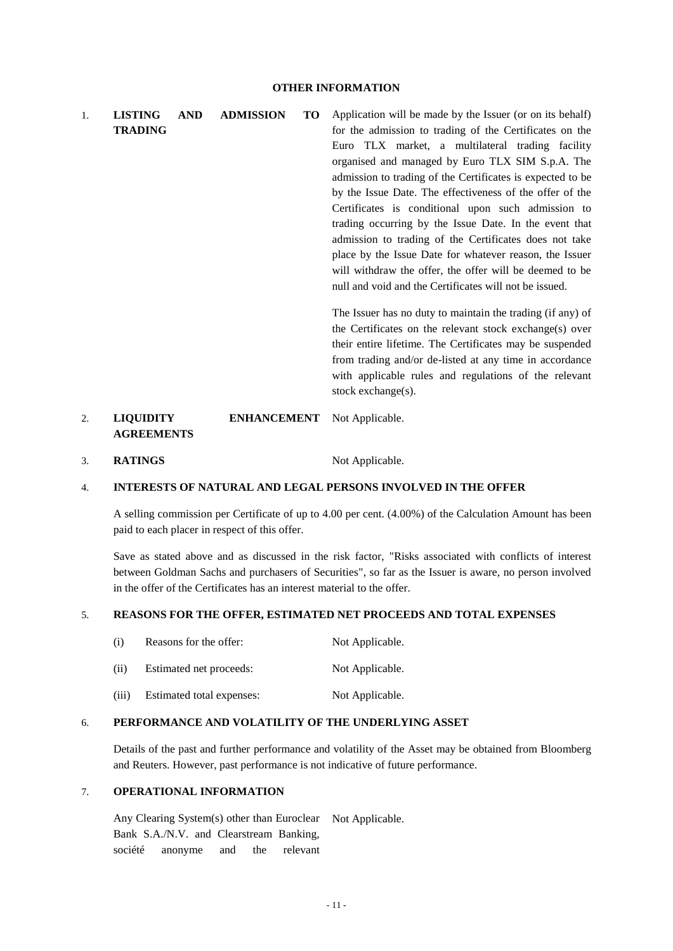1. **LISTING AND ADMISSION TO TRADING** Application will be made by the Issuer (or on its behalf) for the admission to trading of the Certificates on the Euro TLX market, a multilateral trading facility organised and managed by Euro TLX SIM S.p.A. The admission to trading of the Certificates is expected to be by the Issue Date. The effectiveness of the offer of the Certificates is conditional upon such admission to trading occurring by the Issue Date. In the event that admission to trading of the Certificates does not take place by the Issue Date for whatever reason, the Issuer will withdraw the offer, the offer will be deemed to be null and void and the Certificates will not be issued. The Issuer has no duty to maintain the trading (if any) of the Certificates on the relevant stock exchange(s) over their entire lifetime. The Certificates may be suspended

from trading and/or de-listed at any time in accordance with applicable rules and regulations of the relevant stock exchange(s).

#### 2. **LIQUIDITY ENHANCEMENT AGREEMENTS** Not Applicable.

3. **RATINGS** Not Applicable.

### 4. **INTERESTS OF NATURAL AND LEGAL PERSONS INVOLVED IN THE OFFER**

A selling commission per Certificate of up to 4.00 per cent. (4.00%) of the Calculation Amount has been paid to each placer in respect of this offer.

Save as stated above and as discussed in the risk factor, "Risks associated with conflicts of interest between Goldman Sachs and purchasers of Securities", so far as the Issuer is aware, no person involved in the offer of the Certificates has an interest material to the offer.

#### 5. **REASONS FOR THE OFFER, ESTIMATED NET PROCEEDS AND TOTAL EXPENSES**

| (i)   | Reasons for the offer:    | Not Applicable. |
|-------|---------------------------|-----------------|
| (i)   | Estimated net proceeds:   | Not Applicable. |
| (iii) | Estimated total expenses: | Not Applicable. |

#### 6. **PERFORMANCE AND VOLATILITY OF THE UNDERLYING ASSET**

Details of the past and further performance and volatility of the Asset may be obtained from Bloomberg and Reuters. However, past performance is not indicative of future performance.

#### 7. **OPERATIONAL INFORMATION**

Any Clearing System(s) other than Euroclear Not Applicable.Bank S.A./N.V. and Clearstream Banking, société anonyme and the relevant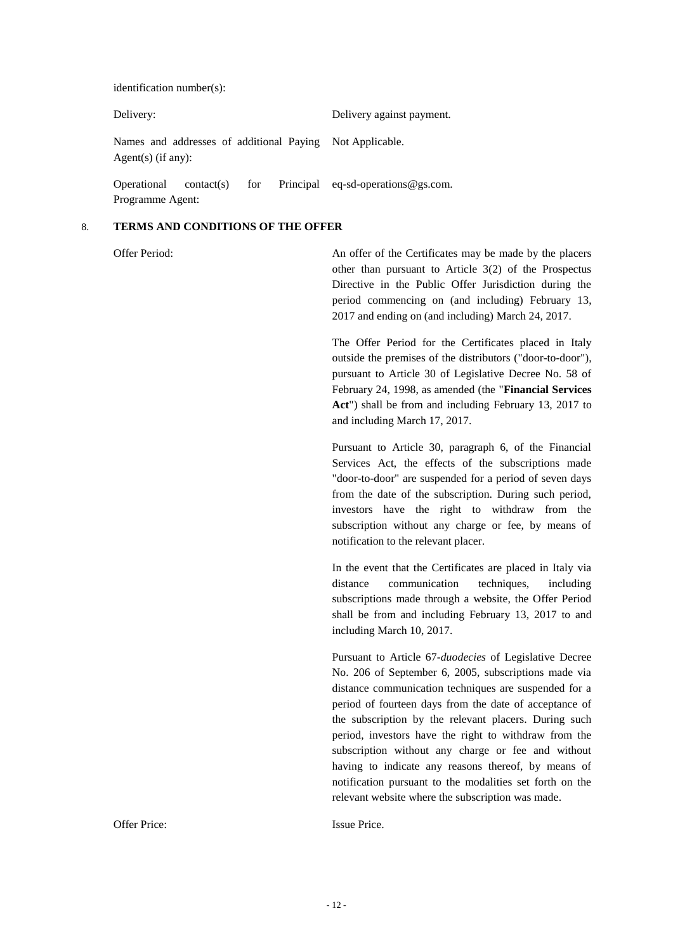identification number(s):

| Delivery:          |            | Delivery against payment.                                |  |                                            |
|--------------------|------------|----------------------------------------------------------|--|--------------------------------------------|
| Agent(s) (if any): |            | Names and addresses of additional Paying Not Applicable. |  |                                            |
| Operational        | contact(s) |                                                          |  | for Principal eq-sd-operations $@$ gs.com. |

#### 8. **TERMS AND CONDITIONS OF THE OFFER**

Programme Agent:

Offer Period: An offer of the Certificates may be made by the placers other than pursuant to Article 3(2) of the Prospectus Directive in the Public Offer Jurisdiction during the period commencing on (and including) February 13, 2017 and ending on (and including) March 24, 2017.

> The Offer Period for the Certificates placed in Italy outside the premises of the distributors ("door-to-door"), pursuant to Article 30 of Legislative Decree No. 58 of February 24, 1998, as amended (the "**Financial Services Act**") shall be from and including February 13, 2017 to and including March 17, 2017.

> Pursuant to Article 30, paragraph 6, of the Financial Services Act, the effects of the subscriptions made "door-to-door" are suspended for a period of seven days from the date of the subscription. During such period, investors have the right to withdraw from the subscription without any charge or fee, by means of notification to the relevant placer.

> In the event that the Certificates are placed in Italy via distance communication techniques, including subscriptions made through a website, the Offer Period shall be from and including February 13, 2017 to and including March 10, 2017.

> Pursuant to Article 67-*duodecies* of Legislative Decree No. 206 of September 6, 2005, subscriptions made via distance communication techniques are suspended for a period of fourteen days from the date of acceptance of the subscription by the relevant placers. During such period, investors have the right to withdraw from the subscription without any charge or fee and without having to indicate any reasons thereof, by means of notification pursuant to the modalities set forth on the relevant website where the subscription was made.

Offer Price: Issue Price.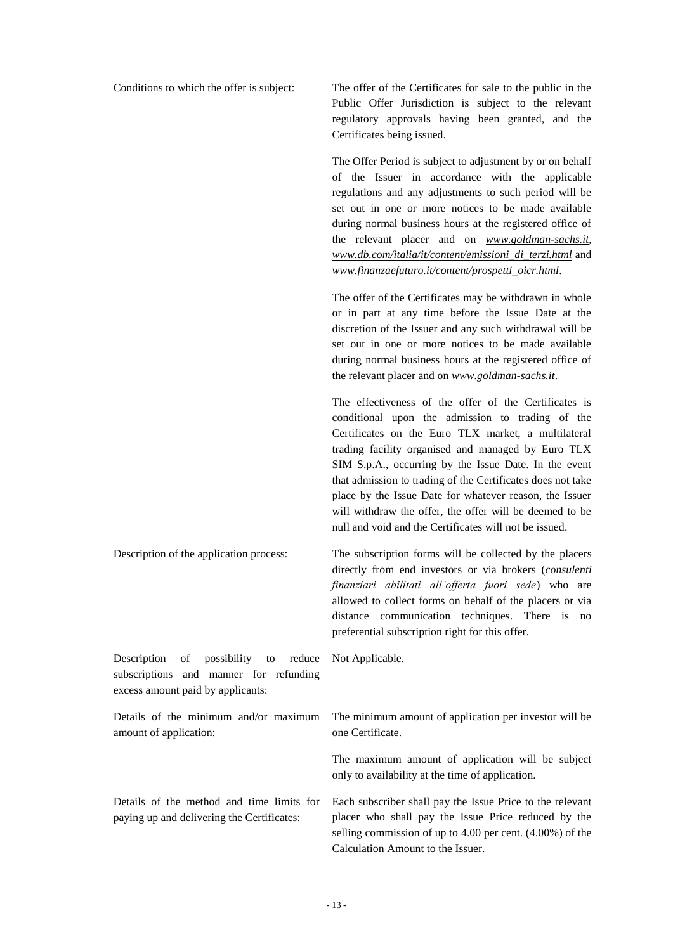Conditions to which the offer is subject: The offer of the Certificates for sale to the public in the Public Offer Jurisdiction is subject to the relevant regulatory approvals having been granted, and the Certificates being issued.

> The Offer Period is subject to adjustment by or on behalf of the Issuer in accordance with the applicable regulations and any adjustments to such period will be set out in one or more notices to be made available during normal business hours at the registered office of the relevant placer and on *[www.goldman-sachs.it,](http://www.goldman-sachs.it/) [www.db.com/italia/it/content/emissioni\\_di\\_terzi.html](http://www.db.com/italia/it/content/emissioni_di_terzi.html)* and *[www.finanzaefuturo.it/content/prospetti\\_oicr.html](http://www.finanzaefuturo.it/content/prospetti_oicr.html)*.

> The offer of the Certificates may be withdrawn in whole or in part at any time before the Issue Date at the discretion of the Issuer and any such withdrawal will be set out in one or more notices to be made available during normal business hours at the registered office of the relevant placer and on *www.goldman-sachs.it*.

> The effectiveness of the offer of the Certificates is conditional upon the admission to trading of the Certificates on the Euro TLX market, a multilateral trading facility organised and managed by Euro TLX SIM S.p.A., occurring by the Issue Date. In the event that admission to trading of the Certificates does not take place by the Issue Date for whatever reason, the Issuer will withdraw the offer, the offer will be deemed to be null and void and the Certificates will not be issued.

Description of the application process: The subscription forms will be collected by the placers directly from end investors or via brokers (*consulenti finanziari abilitati all'offerta fuori sede*) who are allowed to collect forms on behalf of the placers or via distance communication techniques. There is no preferential subscription right for this offer.

Description of possibility to reduce subscriptions and manner for refunding excess amount paid by applicants:

Details of the minimum and/or maximum amount of application:

Details of the method and time limits for paying up and delivering the Certificates:

Not Applicable.

The minimum amount of application per investor will be one Certificate.

The maximum amount of application will be subject only to availability at the time of application.

Each subscriber shall pay the Issue Price to the relevant placer who shall pay the Issue Price reduced by the selling commission of up to 4.00 per cent. (4.00%) of the Calculation Amount to the Issuer.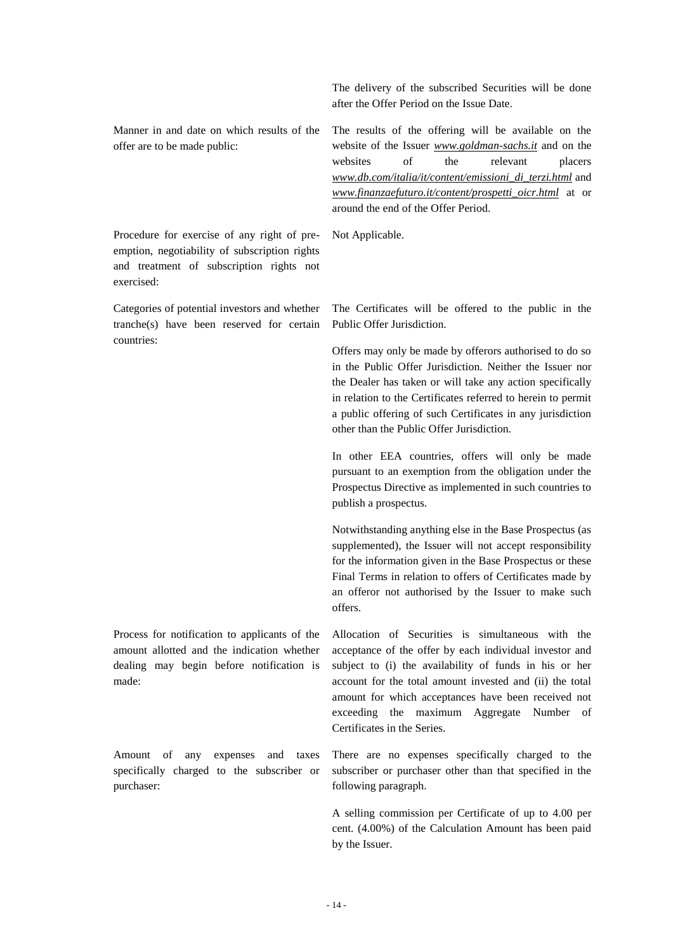Manner in and date on which results of the offer are to be made public:

Procedure for exercise of any right of preemption, negotiability of subscription rights and treatment of subscription rights not exercised:

Categories of potential investors and whether tranche(s) have been reserved for certain countries:

Process for notification to applicants of the amount allotted and the indication whether dealing may begin before notification is made:

Amount of any expenses and taxes specifically charged to the subscriber or purchaser:

The delivery of the subscribed Securities will be done after the Offer Period on the Issue Date.

The results of the offering will be available on the website of the Issuer *[www.goldman-sachs.it](http://www.goldman-sachs.it/)* and on the websites of the relevant placers *[www.db.com/italia/it/content/emissioni\\_di\\_terzi.html](http://www.db.com/italia/it/content/emissioni_di_terzi.html)* and *[www.finanzaefuturo.it/content/prospetti\\_oicr.html](http://www.finanzaefuturo.it/content/prospetti_oicr.html)* at or around the end of the Offer Period.

Not Applicable.

The Certificates will be offered to the public in the Public Offer Jurisdiction.

Offers may only be made by offerors authorised to do so in the Public Offer Jurisdiction. Neither the Issuer nor the Dealer has taken or will take any action specifically in relation to the Certificates referred to herein to permit a public offering of such Certificates in any jurisdiction other than the Public Offer Jurisdiction.

In other EEA countries, offers will only be made pursuant to an exemption from the obligation under the Prospectus Directive as implemented in such countries to publish a prospectus.

Notwithstanding anything else in the Base Prospectus (as supplemented), the Issuer will not accept responsibility for the information given in the Base Prospectus or these Final Terms in relation to offers of Certificates made by an offeror not authorised by the Issuer to make such offers.

Allocation of Securities is simultaneous with the acceptance of the offer by each individual investor and subject to (i) the availability of funds in his or her account for the total amount invested and (ii) the total amount for which acceptances have been received not exceeding the maximum Aggregate Number of Certificates in the Series.

There are no expenses specifically charged to the subscriber or purchaser other than that specified in the following paragraph.

A selling commission per Certificate of up to 4.00 per cent. (4.00%) of the Calculation Amount has been paid by the Issuer.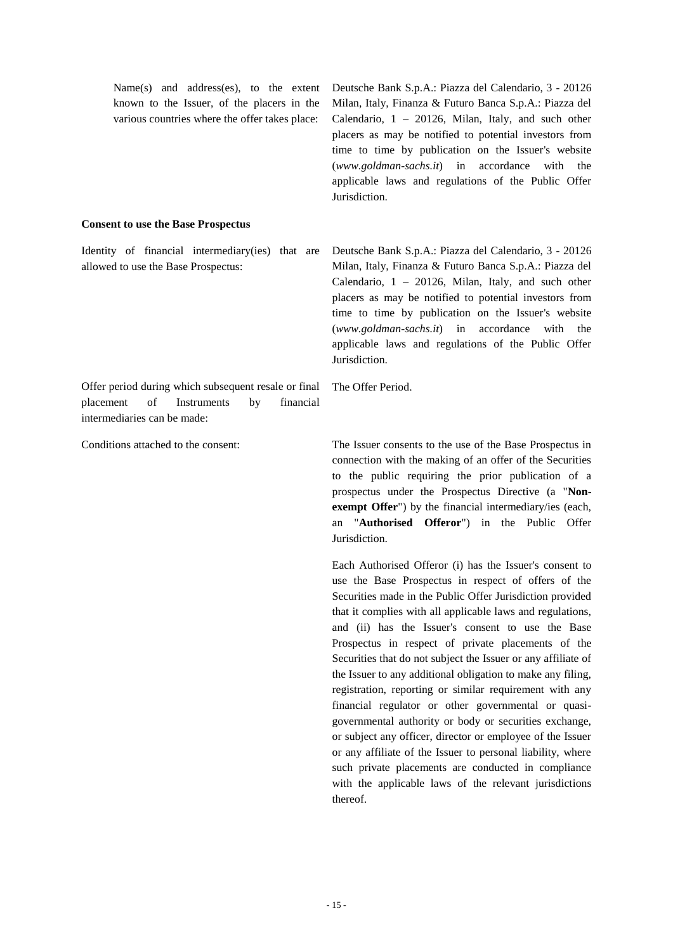| Name(s) and address(es), to the extent<br>known to the Issuer, of the placers in the<br>various countries where the offer takes place: | Deutsche Bank S.p.A.: Piazza del Calendario, 3 - 20126<br>Milan, Italy, Finanza & Futuro Banca S.p.A.: Piazza del<br>Calendario, $1 - 20126$ , Milan, Italy, and such other<br>placers as may be notified to potential investors from<br>time to time by publication on the Issuer's website<br>$(www.goldman-sachs.it)$ in accordance<br>with the<br>applicable laws and regulations of the Public Offer<br>Jurisdiction.                    |
|----------------------------------------------------------------------------------------------------------------------------------------|-----------------------------------------------------------------------------------------------------------------------------------------------------------------------------------------------------------------------------------------------------------------------------------------------------------------------------------------------------------------------------------------------------------------------------------------------|
| <b>Consent to use the Base Prospectus</b>                                                                                              |                                                                                                                                                                                                                                                                                                                                                                                                                                               |
| Identity of financial intermediary(ies) that are<br>allowed to use the Base Prospectus:                                                | Deutsche Bank S.p.A.: Piazza del Calendario, 3 - 20126<br>Milan, Italy, Finanza & Futuro Banca S.p.A.: Piazza del<br>Calendario, 1 - 20126, Milan, Italy, and such other<br>placers as may be notified to potential investors from<br>time to time by publication on the Issuer's website<br>$(www. \textit{goldman-sachs}.\textit{it})$ in accordance<br>with<br>the<br>applicable laws and regulations of the Public Offer<br>Jurisdiction. |
| Offer period during which subsequent resale or final<br>placement<br>of<br>Instruments<br>financial<br>by                              | The Offer Period.                                                                                                                                                                                                                                                                                                                                                                                                                             |
|                                                                                                                                        |                                                                                                                                                                                                                                                                                                                                                                                                                                               |

intermediaries can be made:

Conditions attached to the consent: The Issuer consents to the use of the Base Prospectus in connection with the making of an offer of the Securities to the public requiring the prior publication of a prospectus under the Prospectus Directive (a "**Non**exempt Offer") by the financial intermediary/ies (each, an "**Authorised Offeror**") in the Public Offer Jurisdiction.

> Each Authorised Offeror (i) has the Issuer's consent to use the Base Prospectus in respect of offers of the Securities made in the Public Offer Jurisdiction provided that it complies with all applicable laws and regulations, and (ii) has the Issuer's consent to use the Base Prospectus in respect of private placements of the Securities that do not subject the Issuer or any affiliate of the Issuer to any additional obligation to make any filing, registration, reporting or similar requirement with any financial regulator or other governmental or quasigovernmental authority or body or securities exchange, or subject any officer, director or employee of the Issuer or any affiliate of the Issuer to personal liability, where such private placements are conducted in compliance with the applicable laws of the relevant jurisdictions thereof.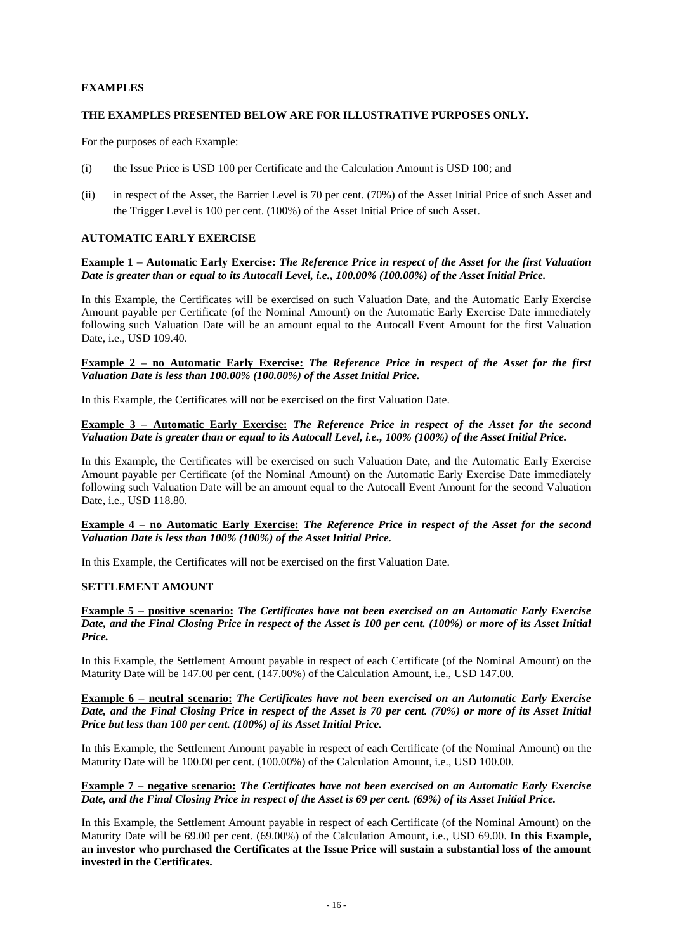### **EXAMPLES**

### **THE EXAMPLES PRESENTED BELOW ARE FOR ILLUSTRATIVE PURPOSES ONLY.**

For the purposes of each Example:

- (i) the Issue Price is USD 100 per Certificate and the Calculation Amount is USD 100; and
- (ii) in respect of the Asset, the Barrier Level is 70 per cent. (70%) of the Asset Initial Price of such Asset and the Trigger Level is 100 per cent. (100%) of the Asset Initial Price of such Asset.

### **AUTOMATIC EARLY EXERCISE**

### **Example 1 – Automatic Early Exercise:** *The Reference Price in respect of the Asset for the first Valuation Date is greater than or equal to its Autocall Level, i.e., 100.00% (100.00%) of the Asset Initial Price.*

In this Example, the Certificates will be exercised on such Valuation Date, and the Automatic Early Exercise Amount payable per Certificate (of the Nominal Amount) on the Automatic Early Exercise Date immediately following such Valuation Date will be an amount equal to the Autocall Event Amount for the first Valuation Date, i.e., USD 109.40.

#### **Example 2 – no Automatic Early Exercise:** *The Reference Price in respect of the Asset for the first Valuation Date is less than 100.00% (100.00%) of the Asset Initial Price.*

In this Example, the Certificates will not be exercised on the first Valuation Date.

#### **Example 3 – Automatic Early Exercise:** *The Reference Price in respect of the Asset for the second Valuation Date is greater than or equal to its Autocall Level, i.e., 100% (100%) of the Asset Initial Price.*

In this Example, the Certificates will be exercised on such Valuation Date, and the Automatic Early Exercise Amount payable per Certificate (of the Nominal Amount) on the Automatic Early Exercise Date immediately following such Valuation Date will be an amount equal to the Autocall Event Amount for the second Valuation Date, i.e., USD 118.80.

### **Example 4 – no Automatic Early Exercise:** *The Reference Price in respect of the Asset for the second Valuation Date is less than 100% (100%) of the Asset Initial Price.*

In this Example, the Certificates will not be exercised on the first Valuation Date.

#### **SETTLEMENT AMOUNT**

**Example 5 – positive scenario:** *The Certificates have not been exercised on an Automatic Early Exercise Date, and the Final Closing Price in respect of the Asset is 100 per cent. (100%) or more of its Asset Initial Price.*

In this Example, the Settlement Amount payable in respect of each Certificate (of the Nominal Amount) on the Maturity Date will be 147.00 per cent. (147.00%) of the Calculation Amount, i.e., USD 147.00.

#### **Example 6 – neutral scenario:** *The Certificates have not been exercised on an Automatic Early Exercise Date, and the Final Closing Price in respect of the Asset is 70 per cent. (70%) or more of its Asset Initial Price but less than 100 per cent. (100%) of its Asset Initial Price.*

In this Example, the Settlement Amount payable in respect of each Certificate (of the Nominal Amount) on the Maturity Date will be 100.00 per cent. (100.00%) of the Calculation Amount, i.e., USD 100.00.

#### **Example 7 – negative scenario:** *The Certificates have not been exercised on an Automatic Early Exercise Date, and the Final Closing Price in respect of the Asset is 69 per cent. (69%) of its Asset Initial Price.*

In this Example, the Settlement Amount payable in respect of each Certificate (of the Nominal Amount) on the Maturity Date will be 69.00 per cent. (69.00%) of the Calculation Amount, i.e., USD 69.00. **In this Example, an investor who purchased the Certificates at the Issue Price will sustain a substantial loss of the amount invested in the Certificates.**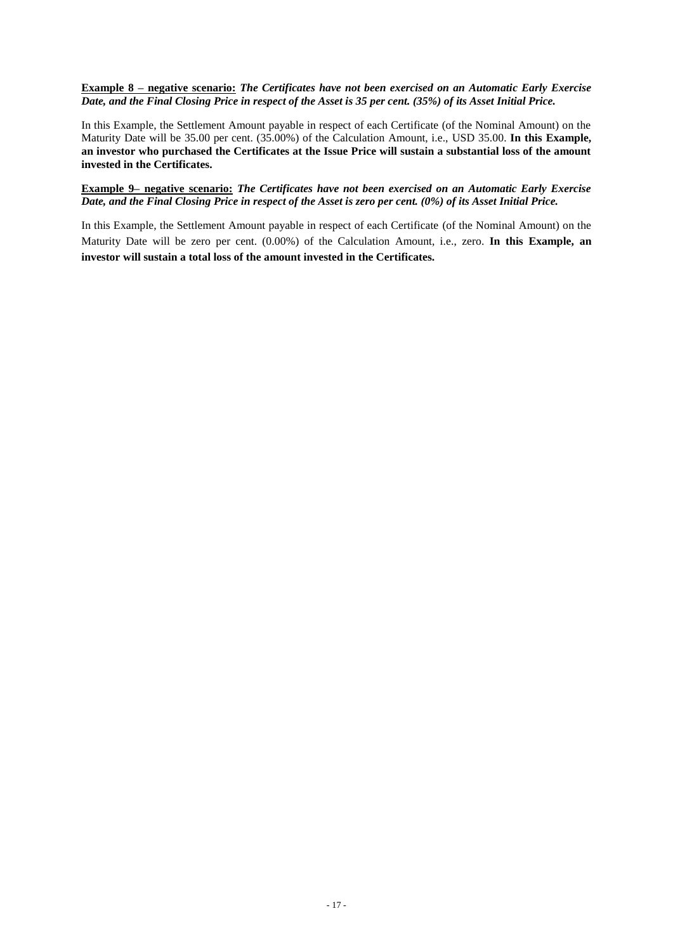**Example 8 – negative scenario:** *The Certificates have not been exercised on an Automatic Early Exercise Date, and the Final Closing Price in respect of the Asset is 35 per cent. (35%) of its Asset Initial Price.*

In this Example, the Settlement Amount payable in respect of each Certificate (of the Nominal Amount) on the Maturity Date will be 35.00 per cent. (35.00%) of the Calculation Amount, i.e., USD 35.00. **In this Example, an investor who purchased the Certificates at the Issue Price will sustain a substantial loss of the amount invested in the Certificates.**

**Example 9– negative scenario:** *The Certificates have not been exercised on an Automatic Early Exercise Date, and the Final Closing Price in respect of the Asset is zero per cent. (0%) of its Asset Initial Price.*

In this Example, the Settlement Amount payable in respect of each Certificate (of the Nominal Amount) on the Maturity Date will be zero per cent. (0.00%) of the Calculation Amount, i.e., zero. **In this Example, an investor will sustain a total loss of the amount invested in the Certificates.**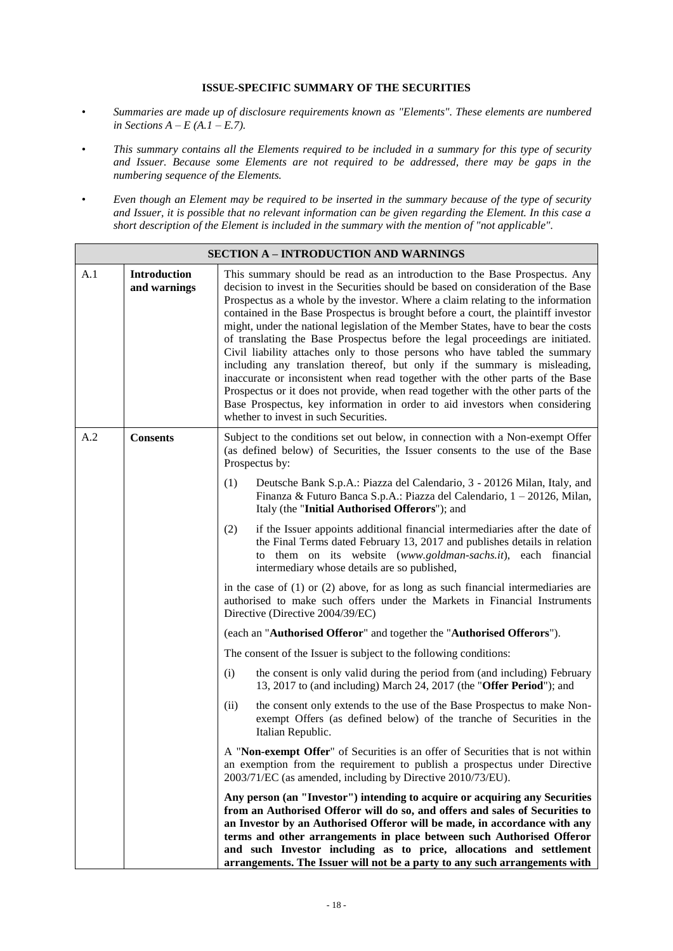#### **ISSUE-SPECIFIC SUMMARY OF THE SECURITIES**

- *• Summaries are made up of disclosure requirements known as "Elements". These elements are numbered in Sections A – E (A.1 – E.7).*
- *• This summary contains all the Elements required to be included in a summary for this type of security and Issuer. Because some Elements are not required to be addressed, there may be gaps in the numbering sequence of the Elements.*
- *• Even though an Element may be required to be inserted in the summary because of the type of security and Issuer, it is possible that no relevant information can be given regarding the Element. In this case a short description of the Element is included in the summary with the mention of "not applicable".*

|     | <b>SECTION A – INTRODUCTION AND WARNINGS</b> |                                                                                                                                                                                                                                                                                                                                                                                                                                                                                                                                                                                                                                                                                                                                                                                                                                                                                                                                                                             |  |  |
|-----|----------------------------------------------|-----------------------------------------------------------------------------------------------------------------------------------------------------------------------------------------------------------------------------------------------------------------------------------------------------------------------------------------------------------------------------------------------------------------------------------------------------------------------------------------------------------------------------------------------------------------------------------------------------------------------------------------------------------------------------------------------------------------------------------------------------------------------------------------------------------------------------------------------------------------------------------------------------------------------------------------------------------------------------|--|--|
| A.1 | <b>Introduction</b><br>and warnings          | This summary should be read as an introduction to the Base Prospectus. Any<br>decision to invest in the Securities should be based on consideration of the Base<br>Prospectus as a whole by the investor. Where a claim relating to the information<br>contained in the Base Prospectus is brought before a court, the plaintiff investor<br>might, under the national legislation of the Member States, have to bear the costs<br>of translating the Base Prospectus before the legal proceedings are initiated.<br>Civil liability attaches only to those persons who have tabled the summary<br>including any translation thereof, but only if the summary is misleading,<br>inaccurate or inconsistent when read together with the other parts of the Base<br>Prospectus or it does not provide, when read together with the other parts of the<br>Base Prospectus, key information in order to aid investors when considering<br>whether to invest in such Securities. |  |  |
| A.2 | <b>Consents</b>                              | Subject to the conditions set out below, in connection with a Non-exempt Offer<br>(as defined below) of Securities, the Issuer consents to the use of the Base<br>Prospectus by:                                                                                                                                                                                                                                                                                                                                                                                                                                                                                                                                                                                                                                                                                                                                                                                            |  |  |
|     |                                              | (1)<br>Deutsche Bank S.p.A.: Piazza del Calendario, 3 - 20126 Milan, Italy, and<br>Finanza & Futuro Banca S.p.A.: Piazza del Calendario, 1 - 20126, Milan,<br>Italy (the "Initial Authorised Offerors"); and                                                                                                                                                                                                                                                                                                                                                                                                                                                                                                                                                                                                                                                                                                                                                                |  |  |
|     |                                              | if the Issuer appoints additional financial intermediaries after the date of<br>(2)<br>the Final Terms dated February 13, 2017 and publishes details in relation<br>to them on its website (www.goldman-sachs.it), each financial<br>intermediary whose details are so published,                                                                                                                                                                                                                                                                                                                                                                                                                                                                                                                                                                                                                                                                                           |  |  |
|     |                                              | in the case of $(1)$ or $(2)$ above, for as long as such financial intermediaries are<br>authorised to make such offers under the Markets in Financial Instruments<br>Directive (Directive 2004/39/EC)                                                                                                                                                                                                                                                                                                                                                                                                                                                                                                                                                                                                                                                                                                                                                                      |  |  |
|     |                                              | (each an "Authorised Offeror" and together the "Authorised Offerors").                                                                                                                                                                                                                                                                                                                                                                                                                                                                                                                                                                                                                                                                                                                                                                                                                                                                                                      |  |  |
|     |                                              | The consent of the Issuer is subject to the following conditions:                                                                                                                                                                                                                                                                                                                                                                                                                                                                                                                                                                                                                                                                                                                                                                                                                                                                                                           |  |  |
|     |                                              | the consent is only valid during the period from (and including) February<br>(i)<br>13, 2017 to (and including) March 24, 2017 (the "Offer Period"); and                                                                                                                                                                                                                                                                                                                                                                                                                                                                                                                                                                                                                                                                                                                                                                                                                    |  |  |
|     |                                              | the consent only extends to the use of the Base Prospectus to make Non-<br>(ii)<br>exempt Offers (as defined below) of the tranche of Securities in the<br>Italian Republic.                                                                                                                                                                                                                                                                                                                                                                                                                                                                                                                                                                                                                                                                                                                                                                                                |  |  |
|     |                                              | A "Non-exempt Offer" of Securities is an offer of Securities that is not within<br>an exemption from the requirement to publish a prospectus under Directive<br>2003/71/EC (as amended, including by Directive 2010/73/EU).                                                                                                                                                                                                                                                                                                                                                                                                                                                                                                                                                                                                                                                                                                                                                 |  |  |
|     |                                              | Any person (an "Investor") intending to acquire or acquiring any Securities<br>from an Authorised Offeror will do so, and offers and sales of Securities to<br>an Investor by an Authorised Offeror will be made, in accordance with any<br>terms and other arrangements in place between such Authorised Offeror<br>and such Investor including as to price, allocations and settlement<br>arrangements. The Issuer will not be a party to any such arrangements with                                                                                                                                                                                                                                                                                                                                                                                                                                                                                                      |  |  |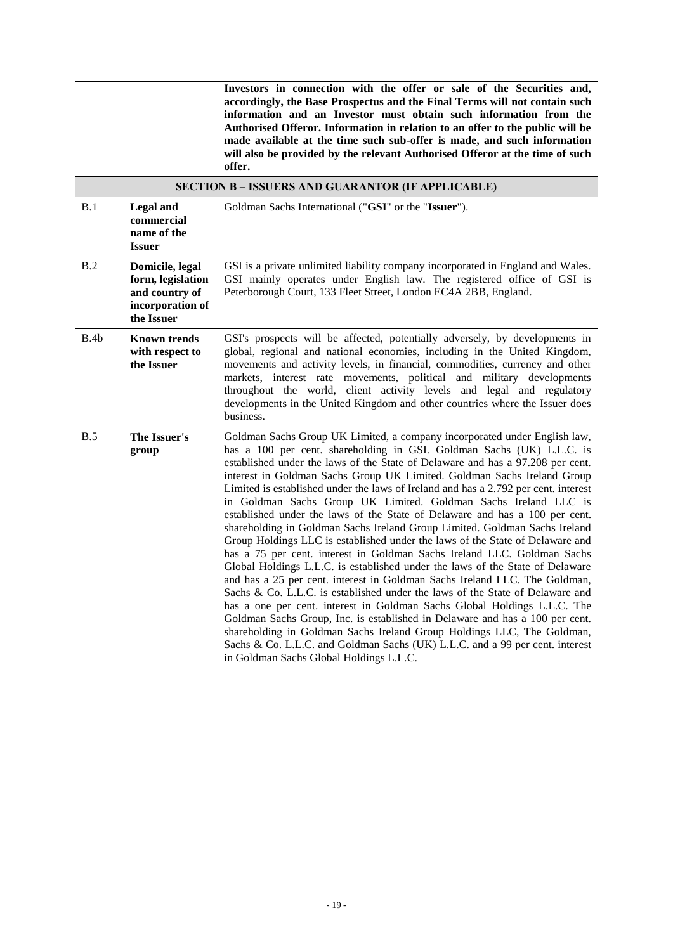|      |                                                                                          | Investors in connection with the offer or sale of the Securities and,<br>accordingly, the Base Prospectus and the Final Terms will not contain such<br>information and an Investor must obtain such information from the<br>Authorised Offeror. Information in relation to an offer to the public will be<br>made available at the time such sub-offer is made, and such information<br>will also be provided by the relevant Authorised Offeror at the time of such<br>offer.                                                                                                                                                                                                                                                                                                                                                                                                                                                                                                                                                                                                                                                                                                                                                                                                                                                                                                                                      |
|------|------------------------------------------------------------------------------------------|---------------------------------------------------------------------------------------------------------------------------------------------------------------------------------------------------------------------------------------------------------------------------------------------------------------------------------------------------------------------------------------------------------------------------------------------------------------------------------------------------------------------------------------------------------------------------------------------------------------------------------------------------------------------------------------------------------------------------------------------------------------------------------------------------------------------------------------------------------------------------------------------------------------------------------------------------------------------------------------------------------------------------------------------------------------------------------------------------------------------------------------------------------------------------------------------------------------------------------------------------------------------------------------------------------------------------------------------------------------------------------------------------------------------|
|      |                                                                                          | <b>SECTION B - ISSUERS AND GUARANTOR (IF APPLICABLE)</b>                                                                                                                                                                                                                                                                                                                                                                                                                                                                                                                                                                                                                                                                                                                                                                                                                                                                                                                                                                                                                                                                                                                                                                                                                                                                                                                                                            |
| B.1  | <b>Legal</b> and<br>commercial<br>name of the<br><b>Issuer</b>                           | Goldman Sachs International ("GSI" or the "Issuer").                                                                                                                                                                                                                                                                                                                                                                                                                                                                                                                                                                                                                                                                                                                                                                                                                                                                                                                                                                                                                                                                                                                                                                                                                                                                                                                                                                |
| B.2  | Domicile, legal<br>form, legislation<br>and country of<br>incorporation of<br>the Issuer | GSI is a private unlimited liability company incorporated in England and Wales.<br>GSI mainly operates under English law. The registered office of GSI is<br>Peterborough Court, 133 Fleet Street, London EC4A 2BB, England.                                                                                                                                                                                                                                                                                                                                                                                                                                                                                                                                                                                                                                                                                                                                                                                                                                                                                                                                                                                                                                                                                                                                                                                        |
| B.4b | <b>Known trends</b><br>with respect to<br>the Issuer                                     | GSI's prospects will be affected, potentially adversely, by developments in<br>global, regional and national economies, including in the United Kingdom,<br>movements and activity levels, in financial, commodities, currency and other<br>markets, interest rate movements, political and military developments<br>throughout the world, client activity levels and legal and regulatory<br>developments in the United Kingdom and other countries where the Issuer does<br>business.                                                                                                                                                                                                                                                                                                                                                                                                                                                                                                                                                                                                                                                                                                                                                                                                                                                                                                                             |
| B.5  | The Issuer's<br>group                                                                    | Goldman Sachs Group UK Limited, a company incorporated under English law,<br>has a 100 per cent. shareholding in GSI. Goldman Sachs (UK) L.L.C. is<br>established under the laws of the State of Delaware and has a 97.208 per cent.<br>interest in Goldman Sachs Group UK Limited. Goldman Sachs Ireland Group<br>Limited is established under the laws of Ireland and has a 2.792 per cent. interest<br>in Goldman Sachs Group UK Limited. Goldman Sachs Ireland LLC is<br>established under the laws of the State of Delaware and has a 100 per cent.<br>shareholding in Goldman Sachs Ireland Group Limited. Goldman Sachs Ireland<br>Group Holdings LLC is established under the laws of the State of Delaware and<br>has a 75 per cent. interest in Goldman Sachs Ireland LLC. Goldman Sachs<br>Global Holdings L.L.C. is established under the laws of the State of Delaware<br>and has a 25 per cent. interest in Goldman Sachs Ireland LLC. The Goldman,<br>Sachs & Co. L.L.C. is established under the laws of the State of Delaware and<br>has a one per cent. interest in Goldman Sachs Global Holdings L.L.C. The<br>Goldman Sachs Group, Inc. is established in Delaware and has a 100 per cent.<br>shareholding in Goldman Sachs Ireland Group Holdings LLC, The Goldman,<br>Sachs & Co. L.L.C. and Goldman Sachs (UK) L.L.C. and a 99 per cent. interest<br>in Goldman Sachs Global Holdings L.L.C. |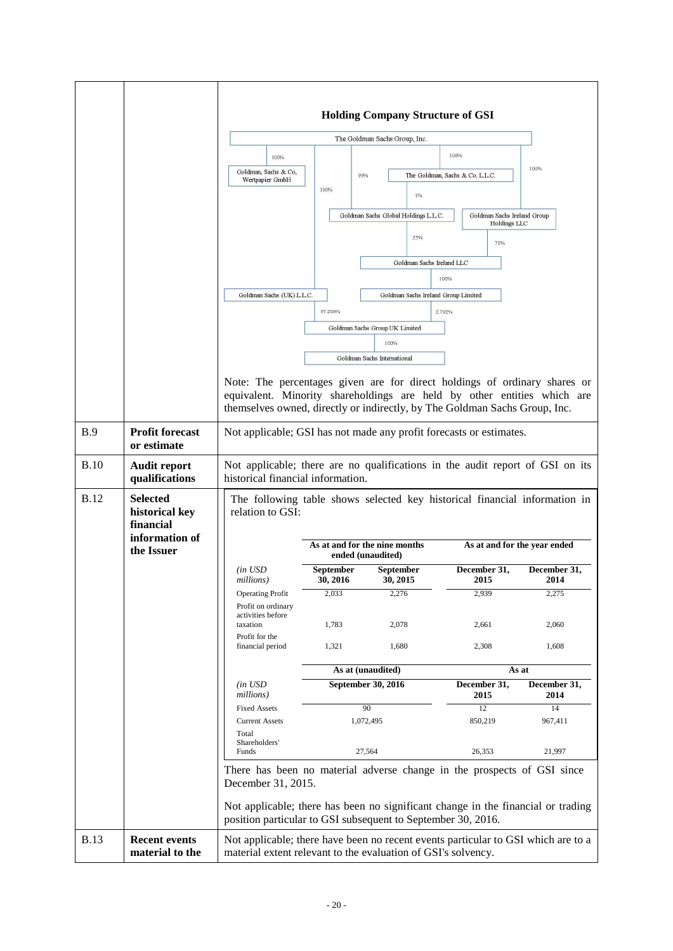|             |                                                                                | 100%<br>Goldman, Sachs & Co,<br>Wertpapier GmbH                                                                                                                                                                                    | 99%<br>100%                                                             | <b>Holding Company Structure of GSI</b><br>The Goldman Sachs Group, Inc.<br>1%<br>Goldman Sachs Global Holdings L.L.C.<br>25%<br>Goldman Sachs Ireland LLC | 100%<br>The Goldman, Sachs & Co. L.L.C.<br>Goldman Sachs Ireland Group<br>Holdings LLC<br>75% | 100%                 |
|-------------|--------------------------------------------------------------------------------|------------------------------------------------------------------------------------------------------------------------------------------------------------------------------------------------------------------------------------|-------------------------------------------------------------------------|------------------------------------------------------------------------------------------------------------------------------------------------------------|-----------------------------------------------------------------------------------------------|----------------------|
|             |                                                                                | Goldman Sachs (UK) L.L.C.                                                                                                                                                                                                          | 97.208%                                                                 | Goldman Sachs Ireland Group Limited<br>Goldman Sachs Group UK Limited<br>100%                                                                              | 100%<br>2.792%                                                                                |                      |
|             |                                                                                | Note: The percentages given are for direct holdings of ordinary shares or<br>equivalent. Minority shareholdings are held by other entities which are<br>themselves owned, directly or indirectly, by The Goldman Sachs Group, Inc. |                                                                         | Goldman Sachs International                                                                                                                                |                                                                                               |                      |
| <b>B.9</b>  | <b>Profit forecast</b><br>or estimate                                          | Not applicable; GSI has not made any profit forecasts or estimates.                                                                                                                                                                |                                                                         |                                                                                                                                                            |                                                                                               |                      |
| <b>B.10</b> | <b>Audit report</b><br>qualifications                                          | Not applicable; there are no qualifications in the audit report of GSI on its<br>historical financial information.                                                                                                                 |                                                                         |                                                                                                                                                            |                                                                                               |                      |
| <b>B.12</b> | <b>Selected</b><br>historical key<br>financial<br>information of<br>the Issuer | The following table shows selected key historical financial information in<br>relation to GSI:<br>As at and for the nine months                                                                                                    |                                                                         |                                                                                                                                                            | As at and for the year ended                                                                  |                      |
|             |                                                                                | (in USD)                                                                                                                                                                                                                           | September                                                               | ended (unaudited)<br><b>September</b>                                                                                                                      | December 31,                                                                                  | December 31,         |
|             |                                                                                | millions)<br><b>Operating Profit</b>                                                                                                                                                                                               | 30, 2016<br>2,033                                                       | 30, 2015<br>2,276                                                                                                                                          | 2015<br>2,939                                                                                 | 2014<br>2,275        |
|             |                                                                                | Profit on ordinary<br>activities before<br>taxation<br>Profit for the                                                                                                                                                              | 1,783                                                                   | 2,078                                                                                                                                                      | 2,661                                                                                         | 2,060                |
|             |                                                                                | financial period                                                                                                                                                                                                                   | 1,321                                                                   | 1,680                                                                                                                                                      | 2,308                                                                                         | 1,608                |
|             |                                                                                |                                                                                                                                                                                                                                    |                                                                         | As at (unaudited)<br>September 30, 2016                                                                                                                    | December 31,                                                                                  | As at                |
|             |                                                                                | $(in$ $USD$<br>millions)                                                                                                                                                                                                           |                                                                         |                                                                                                                                                            | 2015                                                                                          | December 31,<br>2014 |
|             |                                                                                | <b>Fixed Assets</b><br><b>Current Assets</b>                                                                                                                                                                                       |                                                                         | 90<br>1,072,495                                                                                                                                            | 12<br>850,219                                                                                 | 14<br>967,411        |
|             |                                                                                | Total<br>Shareholders'<br>Funds                                                                                                                                                                                                    |                                                                         | 27,564                                                                                                                                                     | 26,353                                                                                        | 21,997               |
|             |                                                                                | December 31, 2015.                                                                                                                                                                                                                 | There has been no material adverse change in the prospects of GSI since |                                                                                                                                                            |                                                                                               |                      |
|             |                                                                                | Not applicable; there has been no significant change in the financial or trading<br>position particular to GSI subsequent to September 30, 2016.                                                                                   |                                                                         |                                                                                                                                                            |                                                                                               |                      |
| <b>B.13</b> | <b>Recent events</b><br>material to the                                        | Not applicable; there have been no recent events particular to GSI which are to a<br>material extent relevant to the evaluation of GSI's solvency.                                                                                 |                                                                         |                                                                                                                                                            |                                                                                               |                      |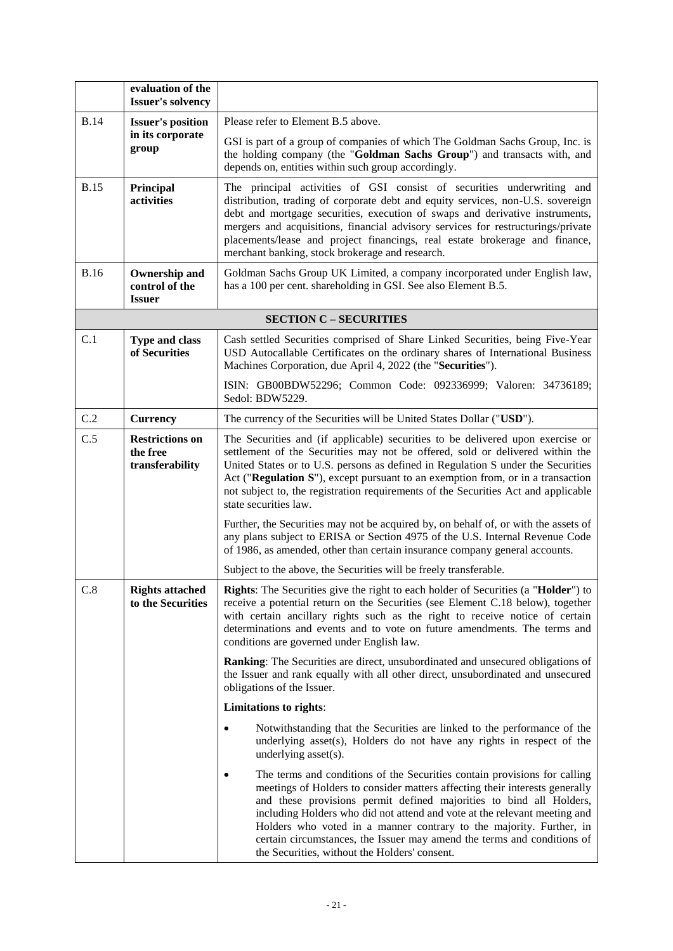|                                                              | evaluation of the<br><b>Issuer's solvency</b>           |                                                                                                                                                                                                                                                                                                                                                                                                                                                                                                                 |  |
|--------------------------------------------------------------|---------------------------------------------------------|-----------------------------------------------------------------------------------------------------------------------------------------------------------------------------------------------------------------------------------------------------------------------------------------------------------------------------------------------------------------------------------------------------------------------------------------------------------------------------------------------------------------|--|
| <b>B.14</b>                                                  | <b>Issuer's position</b>                                | Please refer to Element B.5 above.                                                                                                                                                                                                                                                                                                                                                                                                                                                                              |  |
| in its corporate<br>group                                    |                                                         | GSI is part of a group of companies of which The Goldman Sachs Group, Inc. is<br>the holding company (the "Goldman Sachs Group") and transacts with, and<br>depends on, entities within such group accordingly.                                                                                                                                                                                                                                                                                                 |  |
| <b>B.15</b>                                                  | Principal<br>activities                                 | The principal activities of GSI consist of securities underwriting and<br>distribution, trading of corporate debt and equity services, non-U.S. sovereign<br>debt and mortgage securities, execution of swaps and derivative instruments,<br>mergers and acquisitions, financial advisory services for restructurings/private<br>placements/lease and project financings, real estate brokerage and finance,<br>merchant banking, stock brokerage and research.                                                 |  |
| <b>B.16</b>                                                  | <b>Ownership and</b><br>control of the<br><b>Issuer</b> | Goldman Sachs Group UK Limited, a company incorporated under English law,<br>has a 100 per cent. shareholding in GSI. See also Element B.5.                                                                                                                                                                                                                                                                                                                                                                     |  |
|                                                              |                                                         | <b>SECTION C - SECURITIES</b>                                                                                                                                                                                                                                                                                                                                                                                                                                                                                   |  |
| C.1                                                          | <b>Type and class</b><br>of Securities                  | Cash settled Securities comprised of Share Linked Securities, being Five-Year<br>USD Autocallable Certificates on the ordinary shares of International Business<br>Machines Corporation, due April 4, 2022 (the "Securities").                                                                                                                                                                                                                                                                                  |  |
|                                                              |                                                         | ISIN: GB00BDW52296; Common Code: 092336999; Valoren: 34736189;<br>Sedol: BDW5229.                                                                                                                                                                                                                                                                                                                                                                                                                               |  |
| C.2                                                          | <b>Currency</b>                                         | The currency of the Securities will be United States Dollar ("USD").                                                                                                                                                                                                                                                                                                                                                                                                                                            |  |
| C.5<br><b>Restrictions on</b><br>the free<br>transferability |                                                         | The Securities and (if applicable) securities to be delivered upon exercise or<br>settlement of the Securities may not be offered, sold or delivered within the<br>United States or to U.S. persons as defined in Regulation S under the Securities<br>Act ("Regulation S"), except pursuant to an exemption from, or in a transaction<br>not subject to, the registration requirements of the Securities Act and applicable<br>state securities law.                                                           |  |
|                                                              |                                                         | Further, the Securities may not be acquired by, on behalf of, or with the assets of<br>any plans subject to ERISA or Section 4975 of the U.S. Internal Revenue Code<br>of 1986, as amended, other than certain insurance company general accounts.                                                                                                                                                                                                                                                              |  |
|                                                              |                                                         | Subject to the above, the Securities will be freely transferable.                                                                                                                                                                                                                                                                                                                                                                                                                                               |  |
| C.8                                                          | <b>Rights attached</b><br>to the Securities             | <b>Rights:</b> The Securities give the right to each holder of Securities (a " <b>Holder</b> ") to<br>receive a potential return on the Securities (see Element C.18 below), together<br>with certain ancillary rights such as the right to receive notice of certain<br>determinations and events and to vote on future amendments. The terms and<br>conditions are governed under English law.                                                                                                                |  |
|                                                              |                                                         | Ranking: The Securities are direct, unsubordinated and unsecured obligations of<br>the Issuer and rank equally with all other direct, unsubordinated and unsecured<br>obligations of the Issuer.                                                                                                                                                                                                                                                                                                                |  |
|                                                              |                                                         | Limitations to rights:                                                                                                                                                                                                                                                                                                                                                                                                                                                                                          |  |
|                                                              |                                                         | Notwithstanding that the Securities are linked to the performance of the<br>$\bullet$<br>underlying asset(s), Holders do not have any rights in respect of the<br>underlying asset(s).                                                                                                                                                                                                                                                                                                                          |  |
|                                                              |                                                         | The terms and conditions of the Securities contain provisions for calling<br>meetings of Holders to consider matters affecting their interests generally<br>and these provisions permit defined majorities to bind all Holders,<br>including Holders who did not attend and vote at the relevant meeting and<br>Holders who voted in a manner contrary to the majority. Further, in<br>certain circumstances, the Issuer may amend the terms and conditions of<br>the Securities, without the Holders' consent. |  |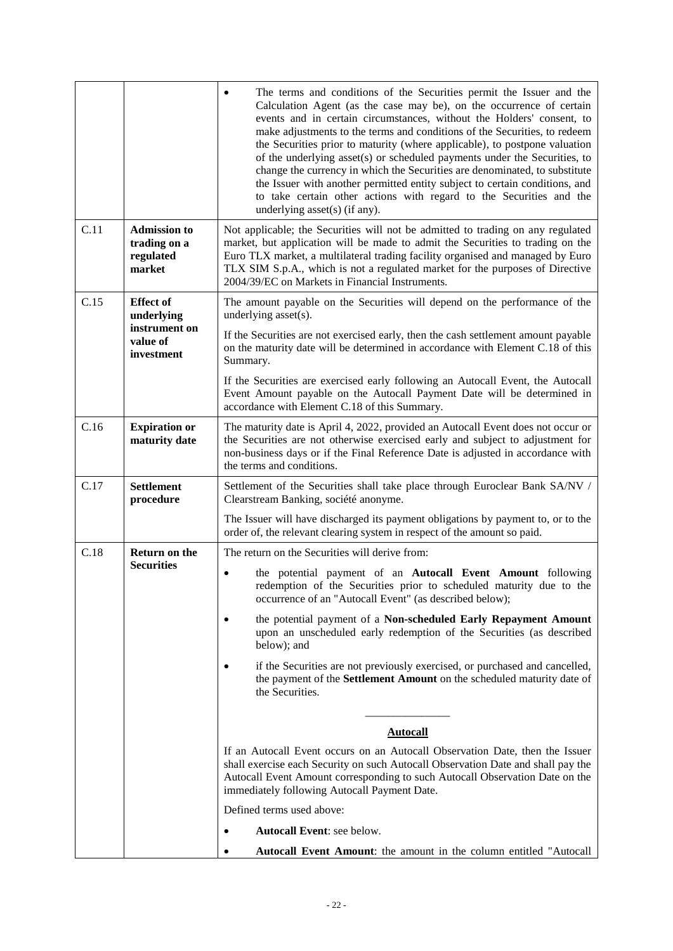|      |                                                            | The terms and conditions of the Securities permit the Issuer and the<br>Calculation Agent (as the case may be), on the occurrence of certain<br>events and in certain circumstances, without the Holders' consent, to<br>make adjustments to the terms and conditions of the Securities, to redeem<br>the Securities prior to maturity (where applicable), to postpone valuation<br>of the underlying asset(s) or scheduled payments under the Securities, to<br>change the currency in which the Securities are denominated, to substitute<br>the Issuer with another permitted entity subject to certain conditions, and<br>to take certain other actions with regard to the Securities and the<br>underlying asset(s) (if any). |  |  |
|------|------------------------------------------------------------|------------------------------------------------------------------------------------------------------------------------------------------------------------------------------------------------------------------------------------------------------------------------------------------------------------------------------------------------------------------------------------------------------------------------------------------------------------------------------------------------------------------------------------------------------------------------------------------------------------------------------------------------------------------------------------------------------------------------------------|--|--|
| C.11 | <b>Admission to</b><br>trading on a<br>regulated<br>market | Not applicable; the Securities will not be admitted to trading on any regulated<br>market, but application will be made to admit the Securities to trading on the<br>Euro TLX market, a multilateral trading facility organised and managed by Euro<br>TLX SIM S.p.A., which is not a regulated market for the purposes of Directive<br>2004/39/EC on Markets in Financial Instruments.                                                                                                                                                                                                                                                                                                                                            |  |  |
| C.15 | <b>Effect of</b><br>underlying                             | The amount payable on the Securities will depend on the performance of the<br>underlying $asset(s)$ .                                                                                                                                                                                                                                                                                                                                                                                                                                                                                                                                                                                                                              |  |  |
|      | instrument on<br>value of<br>investment                    | If the Securities are not exercised early, then the cash settlement amount payable<br>on the maturity date will be determined in accordance with Element C.18 of this<br>Summary.                                                                                                                                                                                                                                                                                                                                                                                                                                                                                                                                                  |  |  |
|      |                                                            | If the Securities are exercised early following an Autocall Event, the Autocall<br>Event Amount payable on the Autocall Payment Date will be determined in<br>accordance with Element C.18 of this Summary.                                                                                                                                                                                                                                                                                                                                                                                                                                                                                                                        |  |  |
| C.16 | <b>Expiration or</b><br>maturity date                      | The maturity date is April 4, 2022, provided an Autocall Event does not occur or<br>the Securities are not otherwise exercised early and subject to adjustment for<br>non-business days or if the Final Reference Date is adjusted in accordance with<br>the terms and conditions.                                                                                                                                                                                                                                                                                                                                                                                                                                                 |  |  |
| C.17 | <b>Settlement</b><br>procedure                             | Settlement of the Securities shall take place through Euroclear Bank SA/NV /<br>Clearstream Banking, société anonyme.                                                                                                                                                                                                                                                                                                                                                                                                                                                                                                                                                                                                              |  |  |
|      |                                                            | The Issuer will have discharged its payment obligations by payment to, or to the<br>order of, the relevant clearing system in respect of the amount so paid.                                                                                                                                                                                                                                                                                                                                                                                                                                                                                                                                                                       |  |  |
| C.18 | <b>Return on the</b>                                       | The return on the Securities will derive from:                                                                                                                                                                                                                                                                                                                                                                                                                                                                                                                                                                                                                                                                                     |  |  |
|      | <b>Securities</b>                                          | the potential payment of an Autocall Event Amount following<br>$\bullet$<br>redemption of the Securities prior to scheduled maturity due to the<br>occurrence of an "Autocall Event" (as described below);                                                                                                                                                                                                                                                                                                                                                                                                                                                                                                                         |  |  |
|      |                                                            | the potential payment of a Non-scheduled Early Repayment Amount<br>upon an unscheduled early redemption of the Securities (as described<br>below); and                                                                                                                                                                                                                                                                                                                                                                                                                                                                                                                                                                             |  |  |
|      |                                                            | if the Securities are not previously exercised, or purchased and cancelled,<br>the payment of the Settlement Amount on the scheduled maturity date of<br>the Securities.                                                                                                                                                                                                                                                                                                                                                                                                                                                                                                                                                           |  |  |
|      |                                                            | <b>Autocall</b>                                                                                                                                                                                                                                                                                                                                                                                                                                                                                                                                                                                                                                                                                                                    |  |  |
|      |                                                            | If an Autocall Event occurs on an Autocall Observation Date, then the Issuer                                                                                                                                                                                                                                                                                                                                                                                                                                                                                                                                                                                                                                                       |  |  |
|      |                                                            | shall exercise each Security on such Autocall Observation Date and shall pay the<br>Autocall Event Amount corresponding to such Autocall Observation Date on the<br>immediately following Autocall Payment Date.                                                                                                                                                                                                                                                                                                                                                                                                                                                                                                                   |  |  |
|      |                                                            | Defined terms used above:                                                                                                                                                                                                                                                                                                                                                                                                                                                                                                                                                                                                                                                                                                          |  |  |
|      |                                                            | <b>Autocall Event:</b> see below.                                                                                                                                                                                                                                                                                                                                                                                                                                                                                                                                                                                                                                                                                                  |  |  |
|      |                                                            | <b>Autocall Event Amount:</b> the amount in the column entitled "Autocall"                                                                                                                                                                                                                                                                                                                                                                                                                                                                                                                                                                                                                                                         |  |  |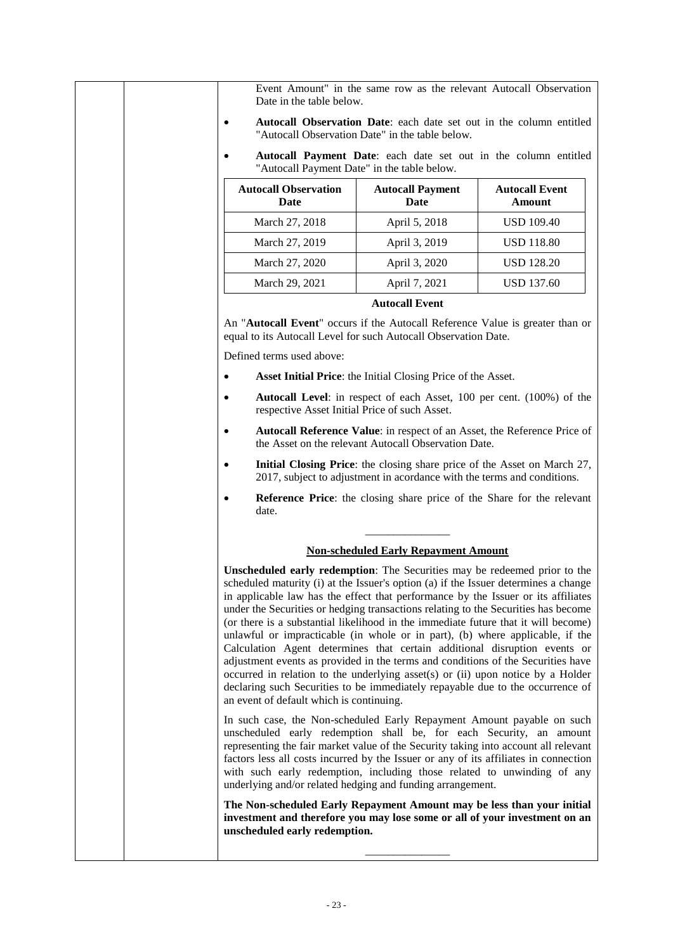Event Amount" in the same row as the relevant Autocall Observation Date in the table below.

- **Autocall Observation Date**: each date set out in the column entitled "Autocall Observation Date" in the table below.
	- **Autocall Payment Date**: each date set out in the column entitled "Autocall Payment Date" in the table below.

| <b>Autocall Observation</b><br>Date | <b>Autocall Payment</b><br><b>Date</b> | <b>Autocall Event</b><br><b>Amount</b> |
|-------------------------------------|----------------------------------------|----------------------------------------|
| March 27, 2018                      | April 5, 2018                          | <b>USD 109.40</b>                      |
| March 27, 2019                      | April 3, 2019                          | <b>USD 118.80</b>                      |
| March 27, 2020                      | April 3, 2020                          | <b>USD 128.20</b>                      |
| March 29, 2021                      | April 7, 2021                          | USD 137.60                             |

#### **Autocall Event**

An "**Autocall Event**" occurs if the Autocall Reference Value is greater than or equal to its Autocall Level for such Autocall Observation Date.

Defined terms used above:

- **Asset Initial Price**: the Initial Closing Price of the Asset.
- **Autocall Level**: in respect of each Asset, 100 per cent. (100%) of the respective Asset Initial Price of such Asset.
- **Autocall Reference Value**: in respect of an Asset, the Reference Price of the Asset on the relevant Autocall Observation Date.
- **Initial Closing Price**: the closing share price of the Asset on March 27, 2017, subject to adjustment in acordance with the terms and conditions.
- **Reference Price**: the closing share price of the Share for the relevant date.

# \_\_\_\_\_\_\_\_\_\_\_\_\_\_\_ **Non-scheduled Early Repayment Amount**

**Unscheduled early redemption**: The Securities may be redeemed prior to the scheduled maturity (i) at the Issuer's option (a) if the Issuer determines a change in applicable law has the effect that performance by the Issuer or its affiliates under the Securities or hedging transactions relating to the Securities has become (or there is a substantial likelihood in the immediate future that it will become) unlawful or impracticable (in whole or in part), (b) where applicable, if the Calculation Agent determines that certain additional disruption events or adjustment events as provided in the terms and conditions of the Securities have occurred in relation to the underlying asset(s) or (ii) upon notice by a Holder declaring such Securities to be immediately repayable due to the occurrence of an event of default which is continuing.

In such case, the Non-scheduled Early Repayment Amount payable on such unscheduled early redemption shall be, for each Security, an amount representing the fair market value of the Security taking into account all relevant factors less all costs incurred by the Issuer or any of its affiliates in connection with such early redemption, including those related to unwinding of any underlying and/or related hedging and funding arrangement.

**The Non-scheduled Early Repayment Amount may be less than your initial investment and therefore you may lose some or all of your investment on an unscheduled early redemption.**

\_\_\_\_\_\_\_\_\_\_\_\_\_\_\_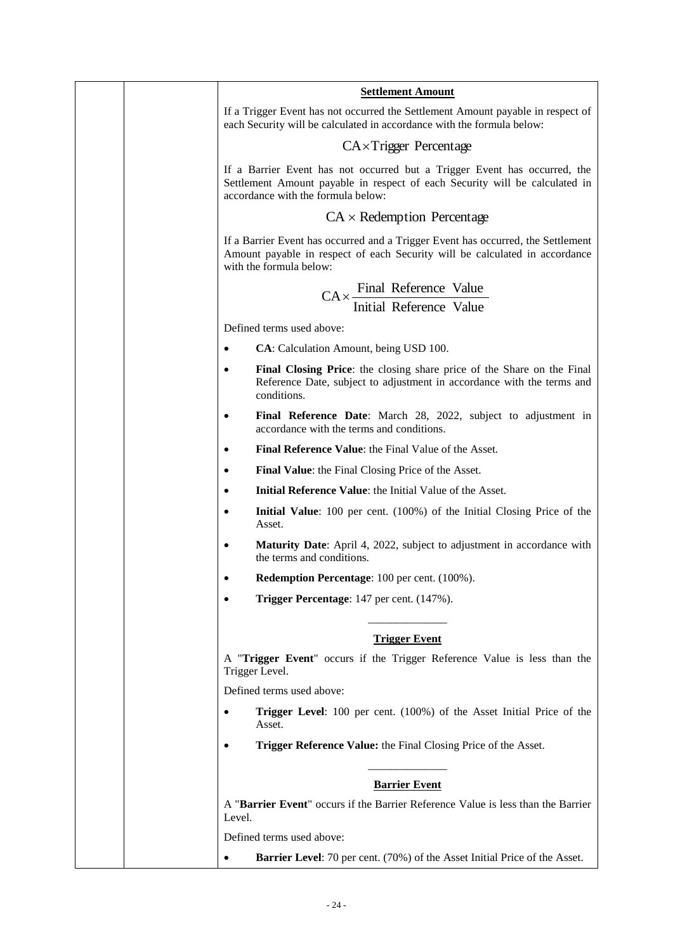| <b>Settlement Amount</b>                                                                                                                                                                       |
|------------------------------------------------------------------------------------------------------------------------------------------------------------------------------------------------|
| If a Trigger Event has not occurred the Settlement Amount payable in respect of<br>each Security will be calculated in accordance with the formula below:                                      |
| $CA \times Trigger$ Percentage                                                                                                                                                                 |
| If a Barrier Event has not occurred but a Trigger Event has occurred, the<br>Settlement Amount payable in respect of each Security will be calculated in<br>accordance with the formula below: |
| $CA \times Redemption Percentage$                                                                                                                                                              |
| If a Barrier Event has occurred and a Trigger Event has occurred, the Settlement<br>Amount payable in respect of each Security will be calculated in accordance<br>with the formula below:     |
| $CA \times \frac{Final \text{ Reference}}{ }$ Value                                                                                                                                            |
| <b>Initial Reference Value</b>                                                                                                                                                                 |
| Defined terms used above:                                                                                                                                                                      |
| CA: Calculation Amount, being USD 100.<br>$\bullet$                                                                                                                                            |
| Final Closing Price: the closing share price of the Share on the Final<br>Reference Date, subject to adjustment in accordance with the terms and<br>conditions.                                |
| Final Reference Date: March 28, 2022, subject to adjustment in<br>$\bullet$<br>accordance with the terms and conditions.                                                                       |
| Final Reference Value: the Final Value of the Asset.<br>$\bullet$                                                                                                                              |
| <b>Final Value:</b> the Final Closing Price of the Asset.<br>$\bullet$                                                                                                                         |
| <b>Initial Reference Value:</b> the Initial Value of the Asset.<br>$\bullet$                                                                                                                   |
| Initial Value: 100 per cent. (100%) of the Initial Closing Price of the<br>Asset.                                                                                                              |
| Maturity Date: April 4, 2022, subject to adjustment in accordance with<br>$\bullet$<br>the terms and conditions.                                                                               |
| <b>Redemption Percentage:</b> 100 per cent. (100%).                                                                                                                                            |
| Trigger Percentage: 147 per cent. (147%).                                                                                                                                                      |
| <b>Trigger Event</b>                                                                                                                                                                           |
| A "Trigger Event" occurs if the Trigger Reference Value is less than the                                                                                                                       |
| Trigger Level.                                                                                                                                                                                 |
| Defined terms used above:                                                                                                                                                                      |
| Trigger Level: 100 per cent. (100%) of the Asset Initial Price of the<br>Asset.                                                                                                                |
| Trigger Reference Value: the Final Closing Price of the Asset.                                                                                                                                 |
| <b>Barrier Event</b>                                                                                                                                                                           |
| A "Barrier Event" occurs if the Barrier Reference Value is less than the Barrier<br>Level.                                                                                                     |
| Defined terms used above:                                                                                                                                                                      |
| <b>Barrier Level:</b> 70 per cent. (70%) of the Asset Initial Price of the Asset.                                                                                                              |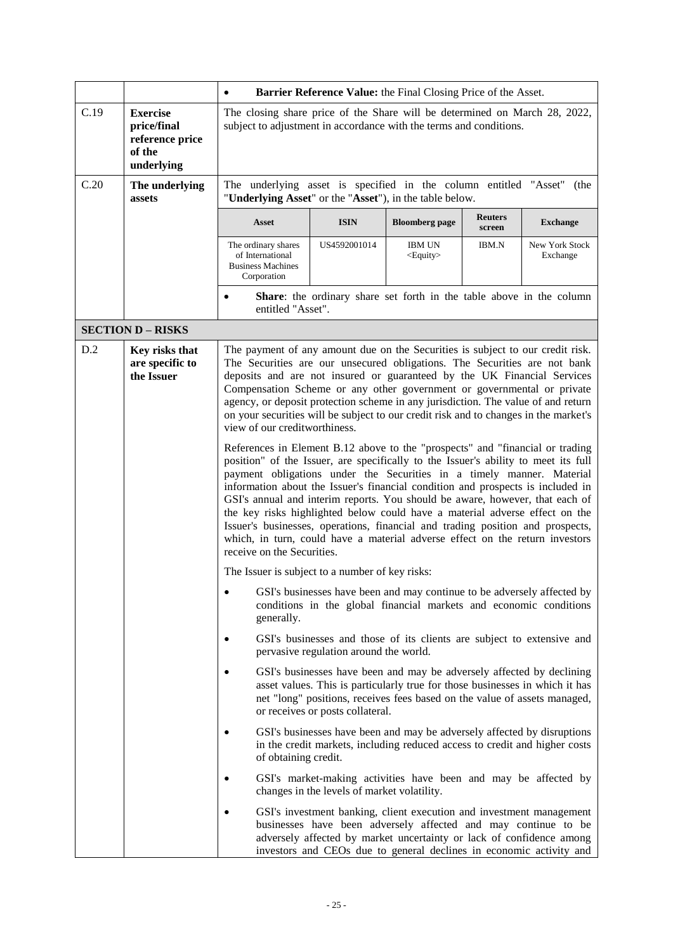|                                                                                                                |                                                                                                                                                                                                                                                                        | Barrier Reference Value: the Final Closing Price of the Asset.<br>$\bullet$<br>The closing share price of the Share will be determined on March 28, 2022,<br>subject to adjustment in accordance with the terms and conditions.                                                                                                                                                                                                                                                                                                                                                                                                                                                                |                                                                                                                                                                                                                                                                                                                                                                                                                                                                                                                                |                                                                     |                          |                            |
|----------------------------------------------------------------------------------------------------------------|------------------------------------------------------------------------------------------------------------------------------------------------------------------------------------------------------------------------------------------------------------------------|------------------------------------------------------------------------------------------------------------------------------------------------------------------------------------------------------------------------------------------------------------------------------------------------------------------------------------------------------------------------------------------------------------------------------------------------------------------------------------------------------------------------------------------------------------------------------------------------------------------------------------------------------------------------------------------------|--------------------------------------------------------------------------------------------------------------------------------------------------------------------------------------------------------------------------------------------------------------------------------------------------------------------------------------------------------------------------------------------------------------------------------------------------------------------------------------------------------------------------------|---------------------------------------------------------------------|--------------------------|----------------------------|
| C.19                                                                                                           | <b>Exercise</b><br>price/final<br>reference price<br>of the<br>underlying                                                                                                                                                                                              |                                                                                                                                                                                                                                                                                                                                                                                                                                                                                                                                                                                                                                                                                                |                                                                                                                                                                                                                                                                                                                                                                                                                                                                                                                                |                                                                     |                          |                            |
| C.20                                                                                                           | The underlying<br>assets                                                                                                                                                                                                                                               | The underlying asset is specified in the column entitled "Asset" (the<br>"Underlying Asset" or the "Asset"), in the table below.                                                                                                                                                                                                                                                                                                                                                                                                                                                                                                                                                               |                                                                                                                                                                                                                                                                                                                                                                                                                                                                                                                                |                                                                     |                          |                            |
|                                                                                                                |                                                                                                                                                                                                                                                                        | <b>Asset</b>                                                                                                                                                                                                                                                                                                                                                                                                                                                                                                                                                                                                                                                                                   | <b>ISIN</b>                                                                                                                                                                                                                                                                                                                                                                                                                                                                                                                    | <b>Bloomberg</b> page                                               | <b>Reuters</b><br>screen | <b>Exchange</b>            |
|                                                                                                                |                                                                                                                                                                                                                                                                        | The ordinary shares<br>of International<br><b>Business Machines</b><br>Corporation                                                                                                                                                                                                                                                                                                                                                                                                                                                                                                                                                                                                             | US4592001014                                                                                                                                                                                                                                                                                                                                                                                                                                                                                                                   | <b>IBM UN</b><br><equity></equity>                                  | <b>IBM.N</b>             | New York Stock<br>Exchange |
|                                                                                                                |                                                                                                                                                                                                                                                                        | $\bullet$<br>entitled "Asset".                                                                                                                                                                                                                                                                                                                                                                                                                                                                                                                                                                                                                                                                 | Share: the ordinary share set forth in the table above in the column                                                                                                                                                                                                                                                                                                                                                                                                                                                           |                                                                     |                          |                            |
|                                                                                                                | <b>SECTION D - RISKS</b>                                                                                                                                                                                                                                               |                                                                                                                                                                                                                                                                                                                                                                                                                                                                                                                                                                                                                                                                                                |                                                                                                                                                                                                                                                                                                                                                                                                                                                                                                                                |                                                                     |                          |                            |
| D.2                                                                                                            | Key risks that<br>are specific to<br>the Issuer                                                                                                                                                                                                                        |                                                                                                                                                                                                                                                                                                                                                                                                                                                                                                                                                                                                                                                                                                | The payment of any amount due on the Securities is subject to our credit risk.<br>The Securities are our unsecured obligations. The Securities are not bank<br>deposits and are not insured or guaranteed by the UK Financial Services<br>Compensation Scheme or any other government or governmental or private<br>agency, or deposit protection scheme in any jurisdiction. The value of and return<br>on your securities will be subject to our credit risk and to changes in the market's<br>view of our creditworthiness. |                                                                     |                          |                            |
|                                                                                                                |                                                                                                                                                                                                                                                                        | References in Element B.12 above to the "prospects" and "financial or trading<br>position" of the Issuer, are specifically to the Issuer's ability to meet its full<br>payment obligations under the Securities in a timely manner. Material<br>information about the Issuer's financial condition and prospects is included in<br>GSI's annual and interim reports. You should be aware, however, that each of<br>the key risks highlighted below could have a material adverse effect on the<br>Issuer's businesses, operations, financial and trading position and prospects,<br>which, in turn, could have a material adverse effect on the return investors<br>receive on the Securities. |                                                                                                                                                                                                                                                                                                                                                                                                                                                                                                                                |                                                                     |                          |                            |
|                                                                                                                |                                                                                                                                                                                                                                                                        | The Issuer is subject to a number of key risks:                                                                                                                                                                                                                                                                                                                                                                                                                                                                                                                                                                                                                                                |                                                                                                                                                                                                                                                                                                                                                                                                                                                                                                                                |                                                                     |                          |                            |
|                                                                                                                |                                                                                                                                                                                                                                                                        | $\bullet$<br>generally.                                                                                                                                                                                                                                                                                                                                                                                                                                                                                                                                                                                                                                                                        | GSI's businesses have been and may continue to be adversely affected by<br>conditions in the global financial markets and economic conditions                                                                                                                                                                                                                                                                                                                                                                                  |                                                                     |                          |                            |
|                                                                                                                |                                                                                                                                                                                                                                                                        | GSI's businesses and those of its clients are subject to extensive and<br>pervasive regulation around the world.                                                                                                                                                                                                                                                                                                                                                                                                                                                                                                                                                                               |                                                                                                                                                                                                                                                                                                                                                                                                                                                                                                                                |                                                                     |                          |                            |
|                                                                                                                | GSI's businesses have been and may be adversely affected by declining<br>asset values. This is particularly true for those businesses in which it has<br>net "long" positions, receives fees based on the value of assets managed,<br>or receives or posts collateral. |                                                                                                                                                                                                                                                                                                                                                                                                                                                                                                                                                                                                                                                                                                |                                                                                                                                                                                                                                                                                                                                                                                                                                                                                                                                |                                                                     |                          |                            |
|                                                                                                                |                                                                                                                                                                                                                                                                        | GSI's businesses have been and may be adversely affected by disruptions<br>in the credit markets, including reduced access to credit and higher costs<br>of obtaining credit.                                                                                                                                                                                                                                                                                                                                                                                                                                                                                                                  |                                                                                                                                                                                                                                                                                                                                                                                                                                                                                                                                |                                                                     |                          |                            |
| GSI's market-making activities have been and may be affected by<br>changes in the levels of market volatility. |                                                                                                                                                                                                                                                                        |                                                                                                                                                                                                                                                                                                                                                                                                                                                                                                                                                                                                                                                                                                |                                                                                                                                                                                                                                                                                                                                                                                                                                                                                                                                |                                                                     |                          |                            |
|                                                                                                                |                                                                                                                                                                                                                                                                        |                                                                                                                                                                                                                                                                                                                                                                                                                                                                                                                                                                                                                                                                                                | GSI's investment banking, client execution and investment management<br>businesses have been adversely affected and may continue to be<br>adversely affected by market uncertainty or lack of confidence among                                                                                                                                                                                                                                                                                                                 | investors and CEOs due to general declines in economic activity and |                          |                            |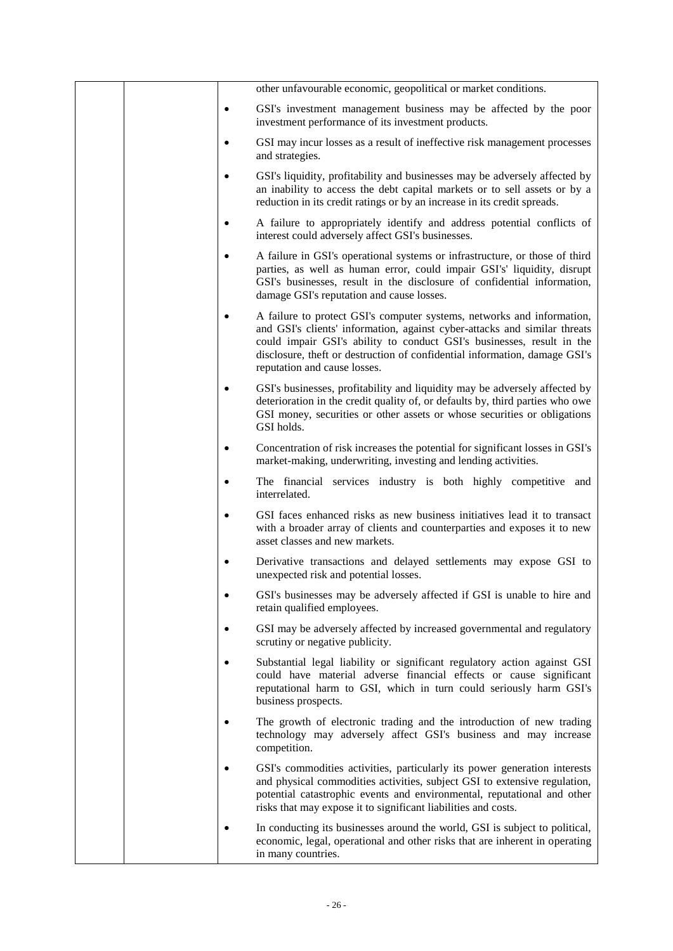|  |           | other unfavourable economic, geopolitical or market conditions.                                                                                                                                                                                                                                                                            |
|--|-----------|--------------------------------------------------------------------------------------------------------------------------------------------------------------------------------------------------------------------------------------------------------------------------------------------------------------------------------------------|
|  |           | GSI's investment management business may be affected by the poor<br>investment performance of its investment products.                                                                                                                                                                                                                     |
|  |           | GSI may incur losses as a result of ineffective risk management processes<br>and strategies.                                                                                                                                                                                                                                               |
|  |           | GSI's liquidity, profitability and businesses may be adversely affected by<br>an inability to access the debt capital markets or to sell assets or by a<br>reduction in its credit ratings or by an increase in its credit spreads.                                                                                                        |
|  | $\bullet$ | A failure to appropriately identify and address potential conflicts of<br>interest could adversely affect GSI's businesses.                                                                                                                                                                                                                |
|  |           | A failure in GSI's operational systems or infrastructure, or those of third<br>parties, as well as human error, could impair GSI's' liquidity, disrupt<br>GSI's businesses, result in the disclosure of confidential information,<br>damage GSI's reputation and cause losses.                                                             |
|  |           | A failure to protect GSI's computer systems, networks and information,<br>and GSI's clients' information, against cyber-attacks and similar threats<br>could impair GSI's ability to conduct GSI's businesses, result in the<br>disclosure, theft or destruction of confidential information, damage GSI's<br>reputation and cause losses. |
|  |           | GSI's businesses, profitability and liquidity may be adversely affected by<br>deterioration in the credit quality of, or defaults by, third parties who owe<br>GSI money, securities or other assets or whose securities or obligations<br>GSI holds.                                                                                      |
|  |           | Concentration of risk increases the potential for significant losses in GSI's<br>market-making, underwriting, investing and lending activities.                                                                                                                                                                                            |
|  |           | The financial services industry is both highly competitive and<br>interrelated.                                                                                                                                                                                                                                                            |
|  |           | GSI faces enhanced risks as new business initiatives lead it to transact<br>with a broader array of clients and counterparties and exposes it to new<br>asset classes and new markets.                                                                                                                                                     |
|  |           | Derivative transactions and delayed settlements may expose GSI to<br>unexpected risk and potential losses.                                                                                                                                                                                                                                 |
|  | $\bullet$ | GSI's businesses may be adversely affected if GSI is unable to hire and<br>retain qualified employees.                                                                                                                                                                                                                                     |
|  | ٠         | GSI may be adversely affected by increased governmental and regulatory<br>scrutiny or negative publicity.                                                                                                                                                                                                                                  |
|  |           | Substantial legal liability or significant regulatory action against GSI<br>could have material adverse financial effects or cause significant<br>reputational harm to GSI, which in turn could seriously harm GSI's<br>business prospects.                                                                                                |
|  |           | The growth of electronic trading and the introduction of new trading<br>technology may adversely affect GSI's business and may increase<br>competition.                                                                                                                                                                                    |
|  | $\bullet$ | GSI's commodities activities, particularly its power generation interests<br>and physical commodities activities, subject GSI to extensive regulation,<br>potential catastrophic events and environmental, reputational and other<br>risks that may expose it to significant liabilities and costs.                                        |
|  |           | In conducting its businesses around the world, GSI is subject to political,<br>economic, legal, operational and other risks that are inherent in operating<br>in many countries.                                                                                                                                                           |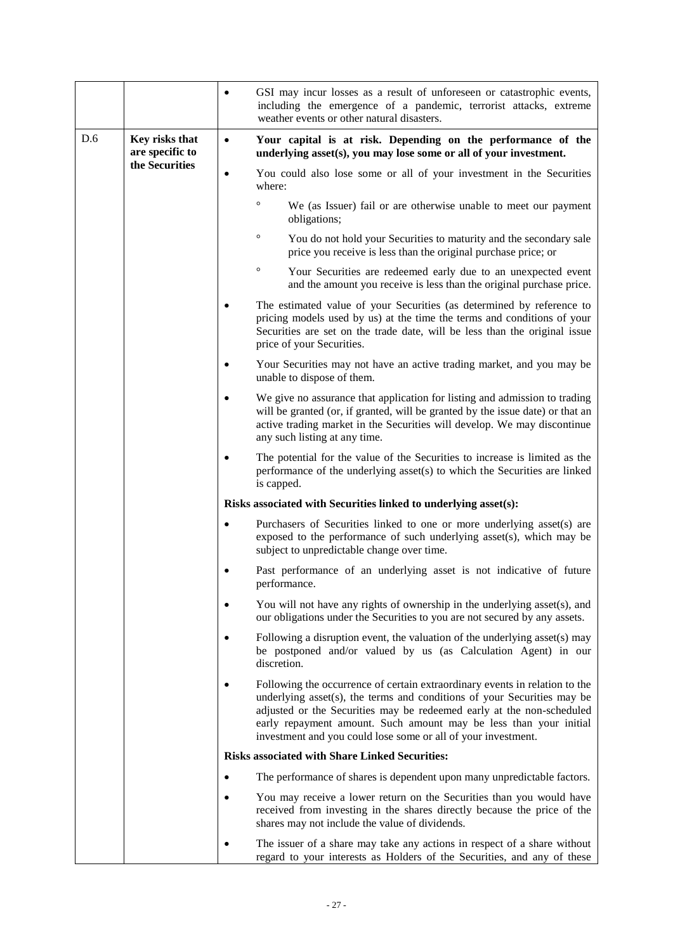|     |                                                     |           | GSI may incur losses as a result of unforeseen or catastrophic events,<br>including the emergence of a pandemic, terrorist attacks, extreme<br>weather events or other natural disasters.                                                                                                                                                                             |
|-----|-----------------------------------------------------|-----------|-----------------------------------------------------------------------------------------------------------------------------------------------------------------------------------------------------------------------------------------------------------------------------------------------------------------------------------------------------------------------|
| D.6 | Key risks that<br>are specific to<br>the Securities | $\bullet$ | Your capital is at risk. Depending on the performance of the<br>underlying asset(s), you may lose some or all of your investment.                                                                                                                                                                                                                                     |
|     |                                                     | $\bullet$ | You could also lose some or all of your investment in the Securities<br>where:                                                                                                                                                                                                                                                                                        |
|     |                                                     |           | O<br>We (as Issuer) fail or are otherwise unable to meet our payment<br>obligations;                                                                                                                                                                                                                                                                                  |
|     |                                                     |           | $\circ$<br>You do not hold your Securities to maturity and the secondary sale<br>price you receive is less than the original purchase price; or                                                                                                                                                                                                                       |
|     |                                                     |           | $\circ$<br>Your Securities are redeemed early due to an unexpected event<br>and the amount you receive is less than the original purchase price.                                                                                                                                                                                                                      |
|     |                                                     |           | The estimated value of your Securities (as determined by reference to<br>pricing models used by us) at the time the terms and conditions of your<br>Securities are set on the trade date, will be less than the original issue<br>price of your Securities.                                                                                                           |
|     |                                                     | ٠         | Your Securities may not have an active trading market, and you may be<br>unable to dispose of them.                                                                                                                                                                                                                                                                   |
|     |                                                     | $\bullet$ | We give no assurance that application for listing and admission to trading<br>will be granted (or, if granted, will be granted by the issue date) or that an<br>active trading market in the Securities will develop. We may discontinue<br>any such listing at any time.                                                                                             |
|     |                                                     |           | The potential for the value of the Securities to increase is limited as the<br>performance of the underlying asset(s) to which the Securities are linked<br>is capped.                                                                                                                                                                                                |
|     |                                                     |           | Risks associated with Securities linked to underlying asset(s):                                                                                                                                                                                                                                                                                                       |
|     |                                                     | $\bullet$ | Purchasers of Securities linked to one or more underlying asset(s) are<br>exposed to the performance of such underlying asset(s), which may be<br>subject to unpredictable change over time.                                                                                                                                                                          |
|     |                                                     |           | Past performance of an underlying asset is not indicative of future<br>performance.                                                                                                                                                                                                                                                                                   |
|     |                                                     |           | You will not have any rights of ownership in the underlying asset(s), and<br>our obligations under the Securities to you are not secured by any assets.                                                                                                                                                                                                               |
|     |                                                     |           | Following a disruption event, the valuation of the underlying asset(s) may<br>be postponed and/or valued by us (as Calculation Agent) in our<br>discretion.                                                                                                                                                                                                           |
|     |                                                     |           | Following the occurrence of certain extraordinary events in relation to the<br>underlying asset(s), the terms and conditions of your Securities may be<br>adjusted or the Securities may be redeemed early at the non-scheduled<br>early repayment amount. Such amount may be less than your initial<br>investment and you could lose some or all of your investment. |
|     |                                                     |           | <b>Risks associated with Share Linked Securities:</b>                                                                                                                                                                                                                                                                                                                 |
|     |                                                     | ٠         | The performance of shares is dependent upon many unpredictable factors.                                                                                                                                                                                                                                                                                               |
|     |                                                     |           | You may receive a lower return on the Securities than you would have<br>received from investing in the shares directly because the price of the<br>shares may not include the value of dividends.                                                                                                                                                                     |
|     |                                                     |           | The issuer of a share may take any actions in respect of a share without<br>regard to your interests as Holders of the Securities, and any of these                                                                                                                                                                                                                   |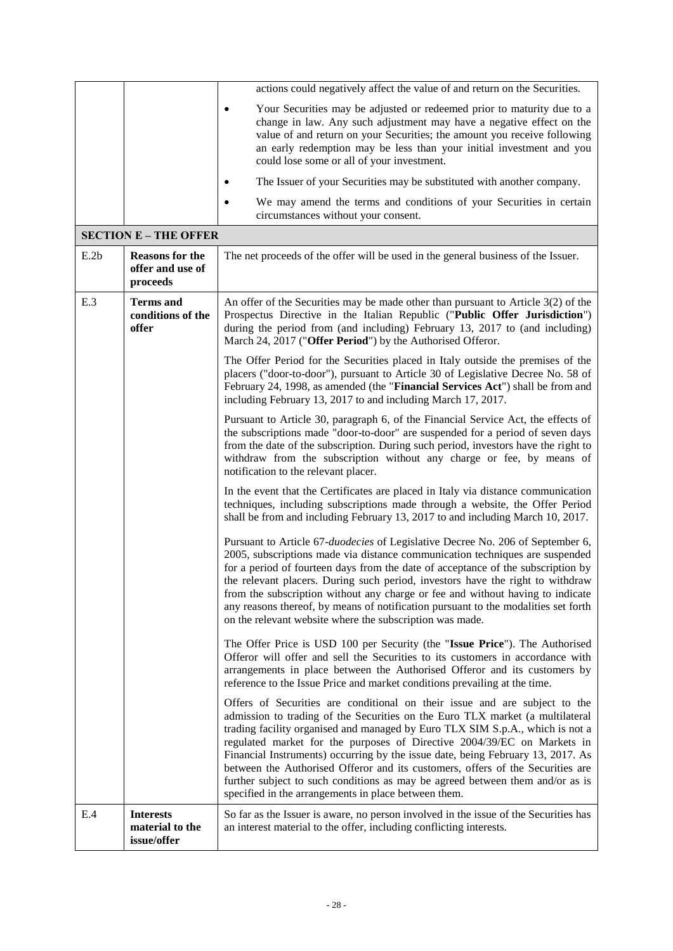|                              |                                                        | actions could negatively affect the value of and return on the Securities.                                                                                                                                                                                                                                                                                                                                                                                                                                                                                                                                                            |  |  |  |
|------------------------------|--------------------------------------------------------|---------------------------------------------------------------------------------------------------------------------------------------------------------------------------------------------------------------------------------------------------------------------------------------------------------------------------------------------------------------------------------------------------------------------------------------------------------------------------------------------------------------------------------------------------------------------------------------------------------------------------------------|--|--|--|
|                              |                                                        | Your Securities may be adjusted or redeemed prior to maturity due to a<br>change in law. Any such adjustment may have a negative effect on the<br>value of and return on your Securities; the amount you receive following<br>an early redemption may be less than your initial investment and you<br>could lose some or all of your investment.                                                                                                                                                                                                                                                                                      |  |  |  |
|                              |                                                        | The Issuer of your Securities may be substituted with another company.                                                                                                                                                                                                                                                                                                                                                                                                                                                                                                                                                                |  |  |  |
|                              |                                                        | We may amend the terms and conditions of your Securities in certain<br>circumstances without your consent.                                                                                                                                                                                                                                                                                                                                                                                                                                                                                                                            |  |  |  |
| <b>SECTION E - THE OFFER</b> |                                                        |                                                                                                                                                                                                                                                                                                                                                                                                                                                                                                                                                                                                                                       |  |  |  |
| E.2b                         | <b>Reasons for the</b><br>offer and use of<br>proceeds | The net proceeds of the offer will be used in the general business of the Issuer.                                                                                                                                                                                                                                                                                                                                                                                                                                                                                                                                                     |  |  |  |
| E.3                          | <b>Terms</b> and<br>conditions of the<br>offer         | An offer of the Securities may be made other than pursuant to Article $3(2)$ of the<br>Prospectus Directive in the Italian Republic ("Public Offer Jurisdiction")<br>during the period from (and including) February 13, 2017 to (and including)<br>March 24, 2017 ("Offer Period") by the Authorised Offeror.                                                                                                                                                                                                                                                                                                                        |  |  |  |
|                              |                                                        | The Offer Period for the Securities placed in Italy outside the premises of the<br>placers ("door-to-door"), pursuant to Article 30 of Legislative Decree No. 58 of<br>February 24, 1998, as amended (the "Financial Services Act") shall be from and<br>including February 13, 2017 to and including March 17, 2017.                                                                                                                                                                                                                                                                                                                 |  |  |  |
|                              |                                                        | Pursuant to Article 30, paragraph 6, of the Financial Service Act, the effects of<br>the subscriptions made "door-to-door" are suspended for a period of seven days<br>from the date of the subscription. During such period, investors have the right to<br>withdraw from the subscription without any charge or fee, by means of<br>notification to the relevant placer.                                                                                                                                                                                                                                                            |  |  |  |
|                              |                                                        | In the event that the Certificates are placed in Italy via distance communication<br>techniques, including subscriptions made through a website, the Offer Period<br>shall be from and including February 13, 2017 to and including March 10, 2017.                                                                                                                                                                                                                                                                                                                                                                                   |  |  |  |
|                              |                                                        | Pursuant to Article 67-duodecies of Legislative Decree No. 206 of September 6,<br>2005, subscriptions made via distance communication techniques are suspended<br>for a period of fourteen days from the date of acceptance of the subscription by<br>the relevant placers. During such period, investors have the right to withdraw<br>from the subscription without any charge or fee and without having to indicate<br>any reasons thereof, by means of notification pursuant to the modalities set forth<br>on the relevant website where the subscription was made.                                                              |  |  |  |
|                              |                                                        | The Offer Price is USD 100 per Security (the "Issue Price"). The Authorised<br>Offeror will offer and sell the Securities to its customers in accordance with<br>arrangements in place between the Authorised Offeror and its customers by<br>reference to the Issue Price and market conditions prevailing at the time.                                                                                                                                                                                                                                                                                                              |  |  |  |
|                              |                                                        | Offers of Securities are conditional on their issue and are subject to the<br>admission to trading of the Securities on the Euro TLX market (a multilateral<br>trading facility organised and managed by Euro TLX SIM S.p.A., which is not a<br>regulated market for the purposes of Directive 2004/39/EC on Markets in<br>Financial Instruments) occurring by the issue date, being February 13, 2017. As<br>between the Authorised Offeror and its customers, offers of the Securities are<br>further subject to such conditions as may be agreed between them and/or as is<br>specified in the arrangements in place between them. |  |  |  |
| E.4                          | <b>Interests</b><br>material to the<br>issue/offer     | So far as the Issuer is aware, no person involved in the issue of the Securities has<br>an interest material to the offer, including conflicting interests.                                                                                                                                                                                                                                                                                                                                                                                                                                                                           |  |  |  |